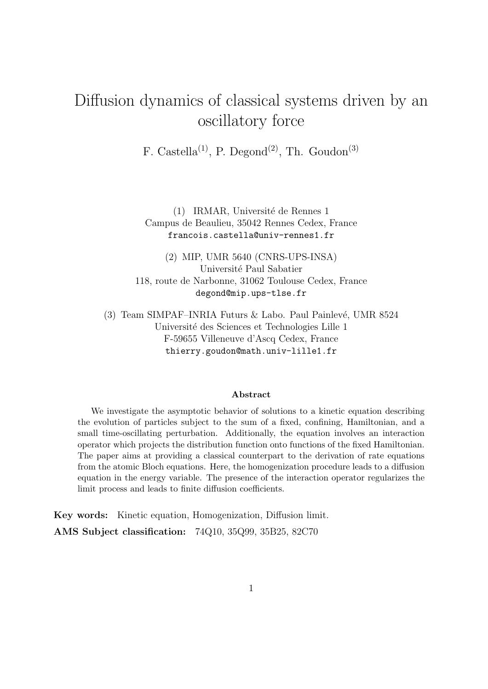# Diffusion dynamics of classical systems driven by an oscillatory force

F. Castella<sup>(1)</sup>, P. Degond<sup>(2)</sup>, Th. Goudon<sup>(3)</sup>

(1) IRMAR, Université de Rennes 1 Campus de Beaulieu, 35042 Rennes Cedex, France francois.castella@univ-rennes1.fr

(2) MIP, UMR 5640 (CNRS-UPS-INSA) Université Paul Sabatier 118, route de Narbonne, 31062 Toulouse Cedex, France degond@mip.ups-tlse.fr

(3) Team SIMPAF–INRIA Futurs  $&$  Labo. Paul Painlevé, UMR 8524 Université des Sciences et Technologies Lille 1 F-59655 Villeneuve d'Ascq Cedex, France thierry.goudon@math.univ-lille1.fr

#### Abstract

We investigate the asymptotic behavior of solutions to a kinetic equation describing the evolution of particles subject to the sum of a fixed, confining, Hamiltonian, and a small time-oscillating perturbation. Additionally, the equation involves an interaction operator which projects the distribution function onto functions of the fixed Hamiltonian. The paper aims at providing a classical counterpart to the derivation of rate equations from the atomic Bloch equations. Here, the homogenization procedure leads to a diffusion equation in the energy variable. The presence of the interaction operator regularizes the limit process and leads to finite diffusion coefficients.

Key words: Kinetic equation, Homogenization, Diffusion limit. AMS Subject classification: 74Q10, 35Q99, 35B25, 82C70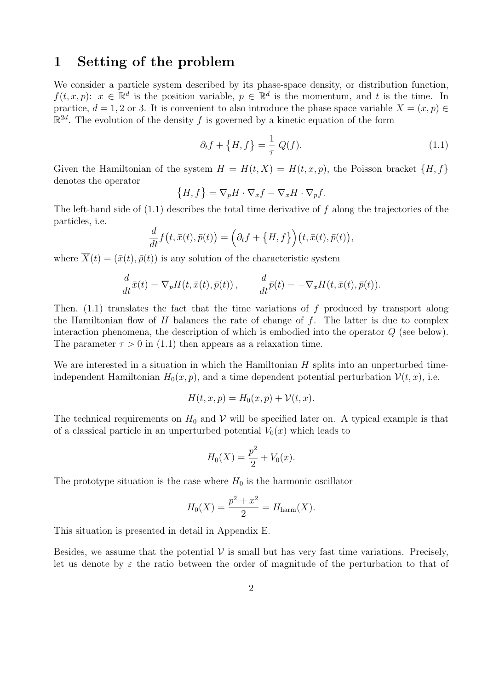### 1 Setting of the problem

We consider a particle system described by its phase-space density, or distribution function,  $f(t, x, p)$ :  $x \in \mathbb{R}^d$  is the position variable,  $p \in \mathbb{R}^d$  is the momentum, and t is the time. In practice,  $d = 1, 2$  or 3. It is convenient to also introduce the phase space variable  $X = (x, p) \in$  $\mathbb{R}^{2d}$ . The evolution of the density f is governed by a kinetic equation of the form

$$
\partial_t f + \{H, f\} = \frac{1}{\tau} Q(f). \tag{1.1}
$$

Given the Hamiltonian of the system  $H = H(t, X) = H(t, x, p)$ , the Poisson bracket  $\{H, f\}$ denotes the operator

$$
\{H, f\} = \nabla_p H \cdot \nabla_x f - \nabla_x H \cdot \nabla_p f.
$$

The left-hand side of  $(1.1)$  describes the total time derivative of f along the trajectories of the particles, i.e.

$$
\frac{d}{dt}f(t,\bar{x}(t),\bar{p}(t)) = (\partial_t f + \{H,f\}\Big)(t,\bar{x}(t),\bar{p}(t)),
$$

where  $\overline{X}(t) = (\overline{x}(t), \overline{p}(t))$  is any solution of the characteristic system

$$
\frac{d}{dt}\bar{x}(t) = \nabla_p H(t, \bar{x}(t), \bar{p}(t)), \qquad \frac{d}{dt}\bar{p}(t) = -\nabla_x H(t, \bar{x}(t), \bar{p}(t)).
$$

Then,  $(1.1)$  translates the fact that the time variations of f produced by transport along the Hamiltonian flow of  $H$  balances the rate of change of  $f$ . The latter is due to complex interaction phenomena, the description of which is embodied into the operator Q (see below). The parameter  $\tau > 0$  in (1.1) then appears as a relaxation time.

We are interested in a situation in which the Hamiltonian  $H$  splits into an unperturbed timeindependent Hamiltonian  $H_0(x, p)$ , and a time dependent potential perturbation  $\mathcal{V}(t, x)$ , i.e.

$$
H(t, x, p) = H_0(x, p) + \mathcal{V}(t, x).
$$

The technical requirements on  $H_0$  and  $\mathcal V$  will be specified later on. A typical example is that of a classical particle in an unperturbed potential  $V_0(x)$  which leads to

$$
H_0(X) = \frac{p^2}{2} + V_0(x).
$$

The prototype situation is the case where  $H_0$  is the harmonic oscillator

$$
H_0(X) = \frac{p^2 + x^2}{2} = H_{\text{harm}}(X).
$$

This situation is presented in detail in Appendix E.

Besides, we assume that the potential  $\mathcal V$  is small but has very fast time variations. Precisely, let us denote by  $\varepsilon$  the ratio between the order of magnitude of the perturbation to that of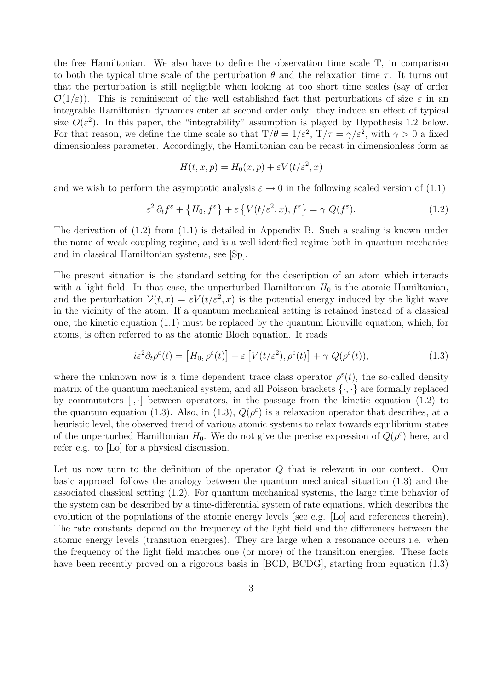the free Hamiltonian. We also have to define the observation time scale T, in comparison to both the typical time scale of the perturbation  $\theta$  and the relaxation time  $\tau$ . It turns out that the perturbation is still negligible when looking at too short time scales (say of order  $\mathcal{O}(1/\varepsilon)$ . This is reminiscent of the well established fact that perturbations of size  $\varepsilon$  in an integrable Hamiltonian dynamics enter at second order only: they induce an effect of typical size  $O(\varepsilon^2)$ . In this paper, the "integrability" assumption is played by Hypothesis 1.2 below. For that reason, we define the time scale so that  $T/\theta = 1/\varepsilon^2$ ,  $T/\tau = \gamma/\varepsilon^2$ , with  $\gamma > 0$  a fixed dimensionless parameter. Accordingly, the Hamiltonian can be recast in dimensionless form as

$$
H(t, x, p) = H_0(x, p) + \varepsilon V(t/\varepsilon^2, x)
$$

and we wish to perform the asymptotic analysis  $\varepsilon \to 0$  in the following scaled version of (1.1)

$$
\varepsilon^2 \partial_t f^\varepsilon + \left\{ H_0, f^\varepsilon \right\} + \varepsilon \left\{ V(t/\varepsilon^2, x), f^\varepsilon \right\} = \gamma \ Q(f^\varepsilon). \tag{1.2}
$$

The derivation of (1.2) from (1.1) is detailed in Appendix B. Such a scaling is known under the name of weak-coupling regime, and is a well-identified regime both in quantum mechanics and in classical Hamiltonian systems, see [Sp].

The present situation is the standard setting for the description of an atom which interacts with a light field. In that case, the unperturbed Hamiltonian  $H_0$  is the atomic Hamiltonian, and the perturbation  $V(t, x) = \varepsilon V(t/\varepsilon^2, x)$  is the potential energy induced by the light wave in the vicinity of the atom. If a quantum mechanical setting is retained instead of a classical one, the kinetic equation (1.1) must be replaced by the quantum Liouville equation, which, for atoms, is often referred to as the atomic Bloch equation. It reads

$$
i\varepsilon^2 \partial_t \rho^\varepsilon(t) = \left[ H_0, \rho^\varepsilon(t) \right] + \varepsilon \left[ V(t/\varepsilon^2), \rho^\varepsilon(t) \right] + \gamma \ Q(\rho^\varepsilon(t)), \tag{1.3}
$$

where the unknown now is a time dependent trace class operator  $\rho^{\varepsilon}(t)$ , the so-called density matrix of the quantum mechanical system, and all Poisson brackets  $\{\cdot,\cdot\}$  are formally replaced by commutators  $[\cdot, \cdot]$  between operators, in the passage from the kinetic equation (1.2) to the quantum equation (1.3). Also, in (1.3),  $Q(\rho^{\varepsilon})$  is a relaxation operator that describes, at a heuristic level, the observed trend of various atomic systems to relax towards equilibrium states of the unperturbed Hamiltonian  $H_0$ . We do not give the precise expression of  $Q(\rho^{\varepsilon})$  here, and refer e.g. to [Lo] for a physical discussion.

Let us now turn to the definition of the operator Q that is relevant in our context. Our basic approach follows the analogy between the quantum mechanical situation (1.3) and the associated classical setting (1.2). For quantum mechanical systems, the large time behavior of the system can be described by a time-differential system of rate equations, which describes the evolution of the populations of the atomic energy levels (see e.g. [Lo] and references therein). The rate constants depend on the frequency of the light field and the differences between the atomic energy levels (transition energies). They are large when a resonance occurs i.e. when the frequency of the light field matches one (or more) of the transition energies. These facts have been recently proved on a rigorous basis in [BCD, BCDG], starting from equation  $(1.3)$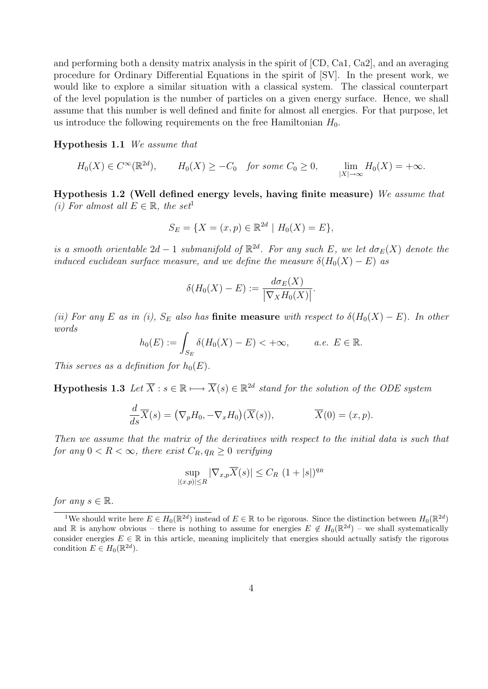and performing both a density matrix analysis in the spirit of [CD, Ca1, Ca2], and an averaging procedure for Ordinary Differential Equations in the spirit of [SV]. In the present work, we would like to explore a similar situation with a classical system. The classical counterpart of the level population is the number of particles on a given energy surface. Hence, we shall assume that this number is well defined and finite for almost all energies. For that purpose, let us introduce the following requirements on the free Hamiltonian  $H_0$ .

Hypothesis 1.1 We assume that

$$
H_0(X) \in C^{\infty}(\mathbb{R}^{2d}), \qquad H_0(X) \ge -C_0 \quad \text{for some } C_0 \ge 0, \qquad \lim_{|X| \to \infty} H_0(X) = +\infty.
$$

Hypothesis 1.2 (Well defined energy levels, having finite measure) We assume that (i) For almost all  $E \in \mathbb{R}$ , the set<sup>1</sup>

$$
S_E = \{ X = (x, p) \in \mathbb{R}^{2d} \mid H_0(X) = E \},
$$

is a smooth orientable  $2d-1$  submanifold of  $\mathbb{R}^{2d}$ . For any such E, we let  $d\sigma_E(X)$  denote the induced euclidean surface measure, and we define the measure  $\delta(H_0(X) - E)$  as

$$
\delta(H_0(X) - E) := \frac{d\sigma_E(X)}{|\nabla_X H_0(X)|}.
$$

(ii) For any E as in (i),  $S_E$  also has finite measure with respect to  $\delta(H_0(X) - E)$ . In other words

$$
h_0(E) := \int_{S_E} \delta(H_0(X) - E) < +\infty, \quad a.e. \ E \in \mathbb{R}.
$$

This serves as a definition for  $h_0(E)$ .

**Hypothesis 1.3** Let  $\overline{X}$  :  $s \in \mathbb{R} \longrightarrow \overline{X}(s) \in \mathbb{R}^{2d}$  stand for the solution of the ODE system

$$
\frac{d}{ds}\overline{X}(s) = (\nabla_p H_0, -\nabla_x H_0)(\overline{X}(s)), \qquad \overline{X}(0) = (x, p).
$$

Then we assume that the matrix of the derivatives with respect to the initial data is such that for any  $0 < R < \infty$ , there exist  $C_R, q_R \geq 0$  verifying

$$
\sup_{|(x,p)|\leq R} |\nabla_{x,p}\overline{X}(s)| \leq C_R (1+|s|)^{q_R}
$$

for any  $s \in \mathbb{R}$ .

<sup>&</sup>lt;sup>1</sup>We should write here  $E \in H_0(\mathbb{R}^{2d})$  instead of  $E \in \mathbb{R}$  to be rigorous. Since the distinction between  $H_0(\mathbb{R}^{2d})$ and R is anyhow obvious – there is nothing to assume for energies  $E \notin H_0(\mathbb{R}^{2d})$  – we shall systematically consider energies  $E \in \mathbb{R}$  in this article, meaning implicitely that energies should actually satisfy the rigorous condition  $E \in H_0(\mathbb{R}^{2d})$ .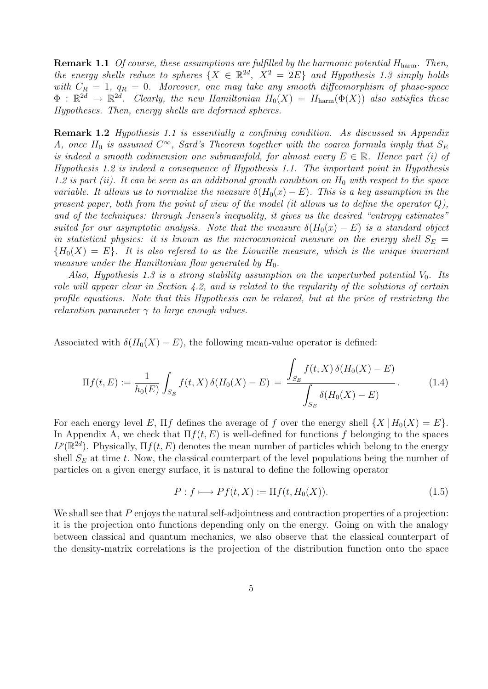**Remark 1.1** Of course, these assumptions are fulfilled by the harmonic potential  $H_{\text{harm}}$ . Then, the energy shells reduce to spheres  $\{X \in \mathbb{R}^{2d}, X^2 = 2E\}$  and Hypothesis 1.3 simply holds with  $C_R = 1$ ,  $q_R = 0$ . Moreover, one may take any smooth diffeomorphism of phase-space  $\Phi$ :  $\mathbb{R}^{2d} \to \mathbb{R}^{2d}$ . Clearly, the new Hamiltonian  $H_0(X) = H_{\text{harm}}(\Phi(X))$  also satisfies these Hypotheses. Then, energy shells are deformed spheres.

Remark 1.2 Hypothesis 1.1 is essentially a confining condition. As discussed in Appendix A, once  $H_0$  is assumed  $C^{\infty}$ , Sard's Theorem together with the coarea formula imply that  $S_E$ is indeed a smooth codimension one submanifold, for almost every  $E \in \mathbb{R}$ . Hence part (i) of Hypothesis 1.2 is indeed a consequence of Hypothesis 1.1. The important point in Hypothesis 1.2 is part (ii). It can be seen as an additional growth condition on  $H_0$  with respect to the space variable. It allows us to normalize the measure  $\delta(H_0(x) - E)$ . This is a key assumption in the present paper, both from the point of view of the model (it allows us to define the operator  $Q$ ), and of the techniques: through Jensen's inequality, it gives us the desired "entropy estimates" suited for our asymptotic analysis. Note that the measure  $\delta(H_0(x) - E)$  is a standard object in statistical physics: it is known as the microcanonical measure on the energy shell  $S_E =$  ${H_0(X) = E}.$  It is also referred to as the Liouville measure, which is the unique invariant measure under the Hamiltonian flow generated by  $H_0$ .

Also, Hypothesis 1.3 is a strong stability assumption on the unperturbed potential  $V_0$ . Its role will appear clear in Section 4.2, and is related to the regularity of the solutions of certain profile equations. Note that this Hypothesis can be relaxed, but at the price of restricting the relaxation parameter  $\gamma$  to large enough values.

Associated with  $\delta(H_0(X) - E)$ , the following mean-value operator is defined:

$$
\Pi f(t, E) := \frac{1}{h_0(E)} \int_{S_E} f(t, X) \, \delta(H_0(X) - E) = \frac{\int_{S_E} f(t, X) \, \delta(H_0(X) - E)}{\int_{S_E} \delta(H_0(X) - E)}.
$$
\n(1.4)

For each energy level E,  $\Pi f$  defines the average of f over the energy shell  $\{X | H_0(X) = E\}$ . In Appendix A, we check that  $\Pi f(t, E)$  is well-defined for functions f belonging to the spaces  $L^p(\mathbb{R}^{2d})$ . Physically,  $\Pi f(t, E)$  denotes the mean number of particles which belong to the energy shell  $S_E$  at time t. Now, the classical counterpart of the level populations being the number of particles on a given energy surface, it is natural to define the following operator

$$
P: f \longmapsto Pf(t, X) := \Pi f(t, H_0(X)). \tag{1.5}
$$

We shall see that P enjoys the natural self-adjointness and contraction properties of a projection: it is the projection onto functions depending only on the energy. Going on with the analogy between classical and quantum mechanics, we also observe that the classical counterpart of the density-matrix correlations is the projection of the distribution function onto the space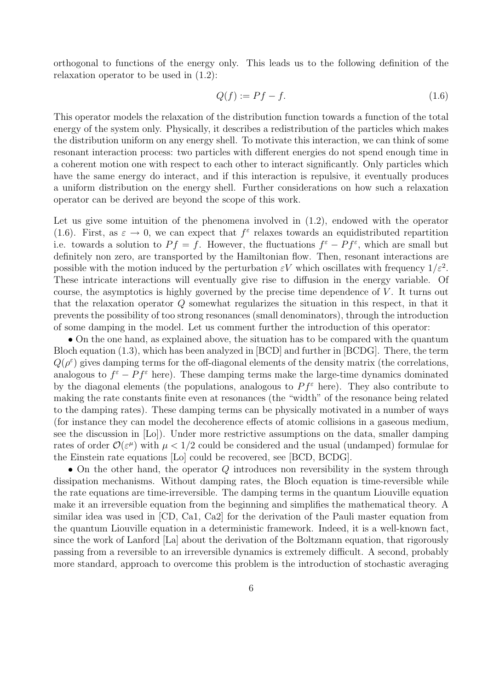orthogonal to functions of the energy only. This leads us to the following definition of the relaxation operator to be used in (1.2):

$$
Q(f) := Pf - f. \tag{1.6}
$$

This operator models the relaxation of the distribution function towards a function of the total energy of the system only. Physically, it describes a redistribution of the particles which makes the distribution uniform on any energy shell. To motivate this interaction, we can think of some resonant interaction process: two particles with different energies do not spend enough time in a coherent motion one with respect to each other to interact significantly. Only particles which have the same energy do interact, and if this interaction is repulsive, it eventually produces a uniform distribution on the energy shell. Further considerations on how such a relaxation operator can be derived are beyond the scope of this work.

Let us give some intuition of the phenomena involved in (1.2), endowed with the operator (1.6). First, as  $\varepsilon \to 0$ , we can expect that  $f^{\varepsilon}$  relaxes towards an equidistributed repartition i.e. towards a solution to  $Pf = f$ . However, the fluctuations  $f^{\varepsilon} - Pf^{\varepsilon}$ , which are small but definitely non zero, are transported by the Hamiltonian flow. Then, resonant interactions are possible with the motion induced by the perturbation  $\varepsilon V$  which oscillates with frequency  $1/\varepsilon^2$ . These intricate interactions will eventually give rise to diffusion in the energy variable. Of course, the asymptotics is highly governed by the precise time dependence of  $V$ . It turns out that the relaxation operator Q somewhat regularizes the situation in this respect, in that it prevents the possibility of too strong resonances (small denominators), through the introduction of some damping in the model. Let us comment further the introduction of this operator:

• On the one hand, as explained above, the situation has to be compared with the quantum Bloch equation (1.3), which has been analyzed in [BCD] and further in [BCDG]. There, the term  $Q(\rho^{\varepsilon})$  gives damping terms for the off-diagonal elements of the density matrix (the correlations, analogous to  $f^{\varepsilon} - Pf^{\varepsilon}$  here). These damping terms make the large-time dynamics dominated by the diagonal elements (the populations, analogous to  $P f^{\varepsilon}$  here). They also contribute to making the rate constants finite even at resonances (the "width" of the resonance being related to the damping rates). These damping terms can be physically motivated in a number of ways (for instance they can model the decoherence effects of atomic collisions in a gaseous medium, see the discussion in [Lo]). Under more restrictive assumptions on the data, smaller damping rates of order  $\mathcal{O}(\varepsilon^{\mu})$  with  $\mu < 1/2$  could be considered and the usual (undamped) formulae for the Einstein rate equations [Lo] could be recovered, see [BCD, BCDG].

• On the other hand, the operator  $Q$  introduces non reversibility in the system through dissipation mechanisms. Without damping rates, the Bloch equation is time-reversible while the rate equations are time-irreversible. The damping terms in the quantum Liouville equation make it an irreversible equation from the beginning and simplifies the mathematical theory. A similar idea was used in [CD, Ca1, Ca2] for the derivation of the Pauli master equation from the quantum Liouville equation in a deterministic framework. Indeed, it is a well-known fact, since the work of Lanford [La] about the derivation of the Boltzmann equation, that rigorously passing from a reversible to an irreversible dynamics is extremely difficult. A second, probably more standard, approach to overcome this problem is the introduction of stochastic averaging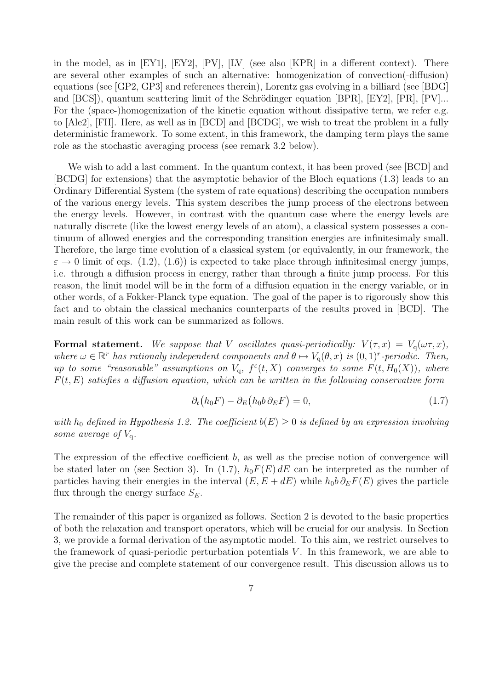in the model, as in [EY1], [EY2], [PV], [LV] (see also [KPR] in a different context). There are several other examples of such an alternative: homogenization of convection(-diffusion) equations (see [GP2, GP3] and references therein), Lorentz gas evolving in a billiard (see [BDG] and  $[BCS]$ , quantum scattering limit of the Schrödinger equation  $[BPR]$ ,  $[EY2]$ ,  $[PR]$ ,  $[PV]...$ For the (space-)homogenization of the kinetic equation without dissipative term, we refer e.g. to [Ale2], [FH]. Here, as well as in [BCD] and [BCDG], we wish to treat the problem in a fully deterministic framework. To some extent, in this framework, the damping term plays the same role as the stochastic averaging process (see remark 3.2 below).

We wish to add a last comment. In the quantum context, it has been proved (see [BCD] and [BCDG] for extensions) that the asymptotic behavior of the Bloch equations (1.3) leads to an Ordinary Differential System (the system of rate equations) describing the occupation numbers of the various energy levels. This system describes the jump process of the electrons between the energy levels. However, in contrast with the quantum case where the energy levels are naturally discrete (like the lowest energy levels of an atom), a classical system possesses a continuum of allowed energies and the corresponding transition energies are infinitesimaly small. Therefore, the large time evolution of a classical system (or equivalently, in our framework, the  $\varepsilon \to 0$  limit of eqs. (1.2), (1.6)) is expected to take place through infinitesimal energy jumps, i.e. through a diffusion process in energy, rather than through a finite jump process. For this reason, the limit model will be in the form of a diffusion equation in the energy variable, or in other words, of a Fokker-Planck type equation. The goal of the paper is to rigorously show this fact and to obtain the classical mechanics counterparts of the results proved in [BCD]. The main result of this work can be summarized as follows.

Formal statement. We suppose that V oscillates quasi-periodically:  $V(\tau, x) = V_q(\omega \tau, x)$ , where  $\omega \in \mathbb{R}^r$  has rationaly independent components and  $\theta \mapsto V_q(\theta, x)$  is  $(0, 1)^r$ -periodic. Then, up to some "reasonable" assumptions on  $V_q$ ,  $f^{\varepsilon}(t,X)$  converges to some  $F(t,H_0(X))$ , where  $F(t, E)$  satisfies a diffusion equation, which can be written in the following conservative form

$$
\partial_t (h_0 F) - \partial_E (h_0 b \partial_E F) = 0,\tag{1.7}
$$

with  $h_0$  defined in Hypothesis 1.2. The coefficient  $b(E) \geq 0$  is defined by an expression involving some average of  $V_a$ .

The expression of the effective coefficient  $b$ , as well as the precise notion of convergence will be stated later on (see Section 3). In (1.7),  $h_0F(E) dE$  can be interpreted as the number of particles having their energies in the interval  $(E, E + dE)$  while  $h_0 b \partial_E F(E)$  gives the particle flux through the energy surface  $S_E$ .

The remainder of this paper is organized as follows. Section 2 is devoted to the basic properties of both the relaxation and transport operators, which will be crucial for our analysis. In Section 3, we provide a formal derivation of the asymptotic model. To this aim, we restrict ourselves to the framework of quasi-periodic perturbation potentials  $V$ . In this framework, we are able to give the precise and complete statement of our convergence result. This discussion allows us to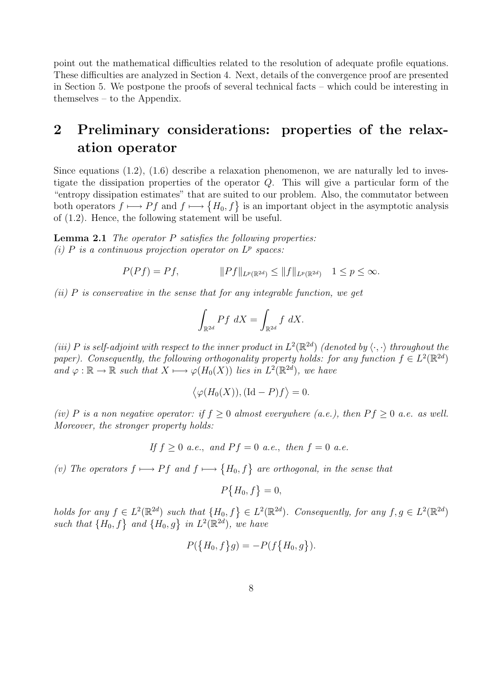point out the mathematical difficulties related to the resolution of adequate profile equations. These difficulties are analyzed in Section 4. Next, details of the convergence proof are presented in Section 5. We postpone the proofs of several technical facts – which could be interesting in themselves – to the Appendix.

## 2 Preliminary considerations: properties of the relaxation operator

Since equations (1.2), (1.6) describe a relaxation phenomenon, we are naturally led to investigate the dissipation properties of the operator Q. This will give a particular form of the "entropy dissipation estimates" that are suited to our problem. Also, the commutator between both operators  $f \mapsto Pf$  and  $f \mapsto \{H_0, f\}$  is an important object in the asymptotic analysis of (1.2). Hence, the following statement will be useful.

**Lemma 2.1** The operator  $P$  satisfies the following properties: (i) P is a continuous projection operator on  $L^p$  spaces.

$$
P(Pf) = Pf, \t\t ||Pf||_{L^p(\mathbb{R}^{2d})} \le ||f||_{L^p(\mathbb{R}^{2d})} \t 1 \le p \le \infty.
$$

 $(ii)$  P is conservative in the sense that for any integrable function, we get

$$
\int_{\mathbb{R}^{2d}} Pf \ dX = \int_{\mathbb{R}^{2d}} f \ dX.
$$

(iii) P is self-adjoint with respect to the inner product in  $L^2(\mathbb{R}^{2d})$  (denoted by  $\langle \cdot, \cdot \rangle$  throughout the paper). Consequently, the following orthogonality property holds: for any function  $f \in L^2(\mathbb{R}^{2d})$ and  $\varphi : \mathbb{R} \to \mathbb{R}$  such that  $X \mapsto \varphi(H_0(X))$  lies in  $L^2(\mathbb{R}^{2d})$ , we have

$$
\langle \varphi(H_0(X)), (\mathrm{Id}-P)f \rangle = 0.
$$

(iv) P is a non negative operator: if  $f \geq 0$  almost everywhere (a.e.), then  $Pf \geq 0$  a.e. as well. Moreover, the stronger property holds:

If 
$$
f \ge 0
$$
 a.e., and  $Pf = 0$  a.e., then  $f = 0$  a.e.

(v) The operators  $f \mapsto Pf$  and  $f \mapsto \{H_0, f\}$  are orthogonal, in the sense that

$$
P\{H_0, f\} = 0,
$$

holds for any  $f \in L^2(\mathbb{R}^{2d})$  such that  $\{H_0, f\} \in L^2(\mathbb{R}^{2d})$ . Consequently, for any  $f, g \in L^2(\mathbb{R}^{2d})$ such that  $\{H_0, f\}$  and  $\{H_0, g\}$  in  $L^2(\mathbb{R}^{2d})$ , we have

$$
P(\lbrace H_0, f \rbrace g) = -P(f\lbrace H_0, g \rbrace).
$$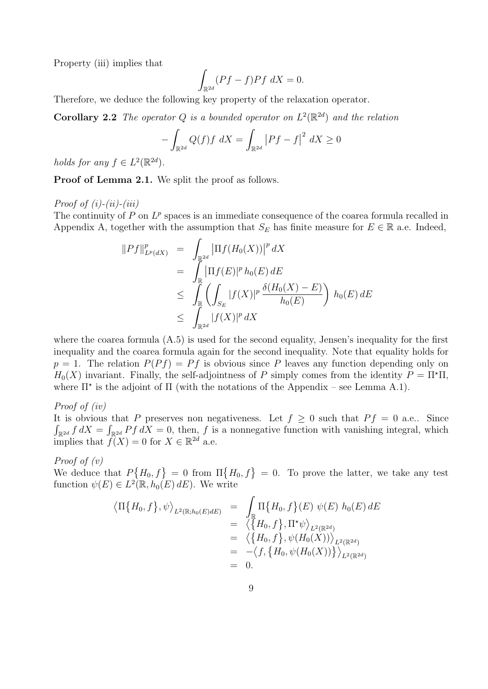Property (iii) implies that

$$
\int_{\mathbb{R}^{2d}} (Pf - f) Pf \ dX = 0.
$$

Therefore, we deduce the following key property of the relaxation operator.

**Corollary 2.2** The operator Q is a bounded operator on  $L^2(\mathbb{R}^{2d})$  and the relation

$$
-\int_{\mathbb{R}^{2d}} Q(f)f \ dX = \int_{\mathbb{R}^{2d}} \left| Pf - f \right|^2 \ dX \ge 0
$$

holds for any  $f \in L^2(\mathbb{R}^{2d})$ .

Proof of Lemma 2.1. We split the proof as follows.

Proof of  $(i)$ - $(ii)$ - $(iii)$ 

The continuity of  $P$  on  $L^p$  spaces is an immediate consequence of the coarea formula recalled in Appendix A, together with the assumption that  $S_E$  has finite measure for  $E \in \mathbb{R}$  a.e. Indeed,

$$
\|Pf\|_{L^p(dX)}^p = \int_{\mathbb{R}^{2d}} |\Pi f(H_0(X))|^p dX
$$
  
\n
$$
= \int_{\mathbb{R}} |\Pi f(E)|^p h_0(E) dE
$$
  
\n
$$
\leq \int_{\mathbb{R}} \left( \int_{S_E} |f(X)|^p \frac{\delta(H_0(X) - E)}{h_0(E)} \right) h_0(E) dE
$$
  
\n
$$
\leq \int_{\mathbb{R}^{2d}} |f(X)|^p dX
$$

where the coarea formula (A.5) is used for the second equality, Jensen's inequality for the first inequality and the coarea formula again for the second inequality. Note that equality holds for  $p = 1$ . The relation  $P(Pf) = Pf$  is obvious since P leaves any function depending only on  $H_0(X)$  invariant. Finally, the self-adjointness of P simply comes from the identity  $P = \Pi^* \Pi$ , where  $\Pi^*$  is the adjoint of  $\Pi$  (with the notations of the Appendix – see Lemma A.1).

Proof of (iv)

It is obvious that P preserves non negativeness. Let  $f \geq 0$  such that  $Pf = 0$  a.e.. Since  $\int_{\mathbb{R}^{2d}} f dX = \int_{\mathbb{R}^{2d}} Pf dX = 0$ , then, f is a nonnegative function with vanishing integral, which implies that  $f(X) = 0$  for  $X \in \mathbb{R}^{2d}$  a.e.

Proof of (v)

We deduce that  $P\{H_0, f\} = 0$  from  $\Pi\{H_0, f\} = 0$ . To prove the latter, we take any test function  $\psi(E) \in L^2(\mathbb{R}, h_0(E) dE)$ . We write

$$
\langle \Pi\{H_0, f\}, \psi \rangle_{L^2(\mathbb{R}; h_0(E) dE)} = \int_{\mathbb{R}} \Pi\{H_0, f\}(E) \psi(E) h_0(E) dE
$$
  
\n
$$
= \langle \{H_0, f\}, \Pi^* \psi \rangle_{L^2(\mathbb{R}^{2d})}
$$
  
\n
$$
= \langle \{H_0, f\}, \psi(H_0(X)) \rangle_{L^2(\mathbb{R}^{2d})}
$$
  
\n
$$
= -\langle f, \{H_0, \psi(H_0(X))\} \rangle_{L^2(\mathbb{R}^{2d})}
$$
  
\n
$$
= 0.
$$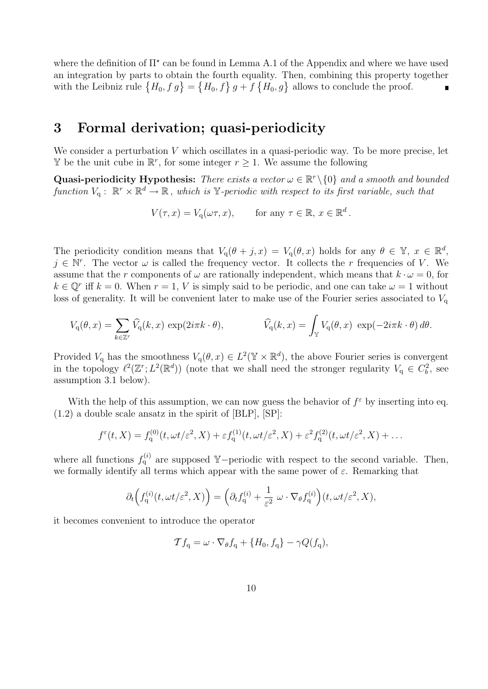where the definition of  $\Pi^*$  can be found in Lemma A.1 of the Appendix and where we have used an integration by parts to obtain the fourth equality. Then, combining this property together with the Leibniz rule  $\{H_0, f\,g\} = \{H_0, f\} g + f \{H_0, g\}$  allows to conclude the proof.

### 3 Formal derivation; quasi-periodicity

We consider a perturbation  $V$  which oscillates in a quasi-periodic way. To be more precise, let  $\mathbb Y$  be the unit cube in  $\mathbb R^r$ , for some integer  $r ≥ 1$ . We assume the following

Quasi-periodicity Hypothesis: There exists a vector  $\omega \in \mathbb{R}^r \setminus \{0\}$  and a smooth and bounded function  $V_q: \mathbb{R}^r \times \mathbb{R}^d \to \mathbb{R}$ , which is Y-periodic with respect to its first variable, such that

$$
V(\tau, x) = V_q(\omega \tau, x), \quad \text{for any } \tau \in \mathbb{R}, x \in \mathbb{R}^d.
$$

The periodicity condition means that  $V_q(\theta + j, x) = V_q(\theta, x)$  holds for any  $\theta \in \mathbb{Y}, x \in \mathbb{R}^d$ ,  $j \in \mathbb{N}^r$ . The vector  $\omega$  is called the frequency vector. It collects the r frequencies of V. We assume that the r components of  $\omega$  are rationally independent, which means that  $k \cdot \omega = 0$ , for  $k \in \mathbb{Q}^r$  iff  $k = 0$ . When  $r = 1$ , V is simply said to be periodic, and one can take  $\omega = 1$  without loss of generality. It will be convenient later to make use of the Fourier series associated to  $V_{\rm q}$ 

$$
V_{\mathbf{q}}(\theta,x) = \sum_{k \in \mathbb{Z}^r} \widehat{V}_{\mathbf{q}}(k,x) \exp(2i\pi k \cdot \theta), \qquad \widehat{V}_{\mathbf{q}}(k,x) = \int_{\mathbb{Y}} V_{\mathbf{q}}(\theta,x) \exp(-2i\pi k \cdot \theta) d\theta.
$$

Provided  $V_q$  has the smoothness  $V_q(\theta, x) \in L^2(\mathbb{Y} \times \mathbb{R}^d)$ , the above Fourier series is convergent in the topology  $\ell^2(\mathbb{Z}^r; L^2(\mathbb{R}^d))$  (note that we shall need the stronger regularity  $V_q \in C_b^2$ , see assumption 3.1 below).

With the help of this assumption, we can now guess the behavior of  $f^{\varepsilon}$  by inserting into eq. (1.2) a double scale ansatz in the spirit of [BLP], [SP]:

$$
f^{\varepsilon}(t,X) = f_{\mathbf{q}}^{(0)}(t,\omega t/\varepsilon^2,X) + \varepsilon f_{\mathbf{q}}^{(1)}(t,\omega t/\varepsilon^2,X) + \varepsilon^2 f_{\mathbf{q}}^{(2)}(t,\omega t/\varepsilon^2,X) + \dots
$$

where all functions  $f_q^{(i)}$  are supposed Y-periodic with respect to the second variable. Then, we formally identify all terms which appear with the same power of  $\varepsilon$ . Remarking that

$$
\partial_t \Big( f_q^{(i)}(t, \omega t/\varepsilon^2, X) \Big) = \Big( \partial_t f_q^{(i)} + \frac{1}{\varepsilon^2} \ \omega \cdot \nabla_\theta f_q^{(i)} \Big) (t, \omega t/\varepsilon^2, X),
$$

it becomes convenient to introduce the operator

$$
\mathcal{T}f_{\mathbf{q}} = \omega \cdot \nabla_{\theta} f_{\mathbf{q}} + \{H_0, f_{\mathbf{q}}\} - \gamma Q(f_{\mathbf{q}}),
$$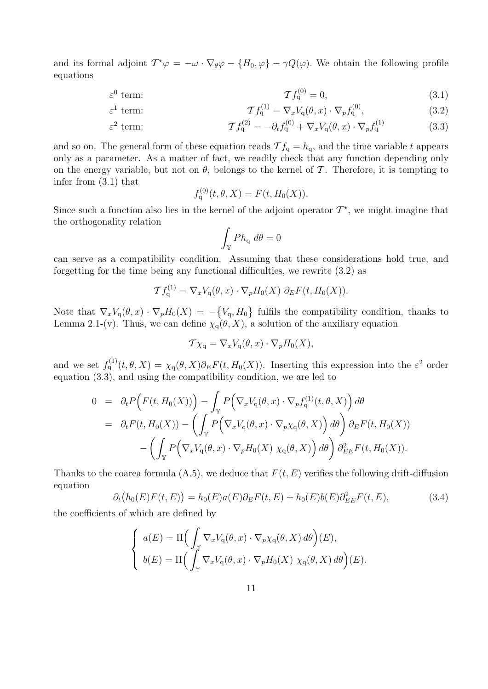and its formal adjoint  $T^*\varphi = -\omega \cdot \nabla_{\theta}\varphi - \{H_0, \varphi\} - \gamma Q(\varphi)$ . We obtain the following profile equations

$$
\mathcal{T}f_{q}^{(0)} = 0, \tag{3.1}
$$

term: 
$$
\mathcal{T}f_q^{(1)} = \nabla_x V_q(\theta, x) \cdot \nabla_p f_q^{(0)}, \qquad (3.2)
$$

$$
\varepsilon^2 \text{ term:} \qquad \qquad \mathcal{T}f_q^{(2)} = -\partial_t f_q^{(0)} + \nabla_x V_q(\theta, x) \cdot \nabla_p f_q^{(1)} \qquad (3.3)
$$

and so on. The general form of these equation reads  $\mathcal{T} f_q = h_q$ , and the time variable t appears only as a parameter. As a matter of fact, we readily check that any function depending only on the energy variable, but not on  $\theta$ , belongs to the kernel of T. Therefore, it is tempting to infer from (3.1) that

$$
f_{\mathbf{q}}^{(0)}(t, \theta, X) = F(t, H_0(X)).
$$

Since such a function also lies in the kernel of the adjoint operator  $\mathcal{T}^*$ , we might imagine that the orthogonality relation

$$
\int_{\mathbb{Y}} P h_{\mathbf{q}} \, d\theta = 0
$$

can serve as a compatibility condition. Assuming that these considerations hold true, and forgetting for the time being any functional difficulties, we rewrite (3.2) as

$$
\mathcal{T}f_{\mathbf{q}}^{(1)} = \nabla_x V_{\mathbf{q}}(\theta, x) \cdot \nabla_p H_0(X) \partial_E F(t, H_0(X)).
$$

Note that  $\nabla_x V_q(\theta, x) \cdot \nabla_p H_0(X) = -\{V_q, H_0\}$  fulfils the compatibility condition, thanks to Lemma 2.1-(v). Thus, we can define  $\chi_q(\theta, X)$ , a solution of the auxiliary equation

$$
\mathcal{T}\chi_{\mathbf{q}} = \nabla_x V_{\mathbf{q}}(\theta, x) \cdot \nabla_p H_0(X),
$$

and we set  $f_q^{(1)}(t, \theta, X) = \chi_q(\theta, X) \partial_E F(t, H_0(X))$ . Inserting this expression into the  $\varepsilon^2$  order equation (3.3), and using the compatibility condition, we are led to

$$
0 = \partial_t P\Big(F(t, H_0(X))\Big) - \int_{\mathbb{Y}} P\Big(\nabla_x V_q(\theta, x) \cdot \nabla_p f_q^{(1)}(t, \theta, X)\Big) d\theta
$$
  
\n
$$
= \partial_t F(t, H_0(X)) - \left(\int_{\mathbb{Y}} P\Big(\nabla_x V_q(\theta, x) \cdot \nabla_p \chi_q(\theta, X)\Big) d\theta\right) \partial_E F(t, H_0(X))
$$
  
\n
$$
- \left(\int_{\mathbb{Y}} P\Big(\nabla_x V_q(\theta, x) \cdot \nabla_p H_0(X) \chi_q(\theta, X)\Big) d\theta\right) \partial_{EE}^2 F(t, H_0(X)).
$$

Thanks to the coarea formula  $(A.5)$ , we deduce that  $F(t, E)$  verifies the following drift-diffusion equation

$$
\partial_t \big( h_0(E) F(t, E) \big) = h_0(E) a(E) \partial_E F(t, E) + h_0(E) b(E) \partial_{EE}^2 F(t, E), \tag{3.4}
$$

the coefficients of which are defined by

 $\varepsilon^1$ 

$$
\begin{cases}\na(E) = \Pi \Big(\int_{\mathbb{Y}} \nabla_x V_{\mathbf{q}}(\theta, x) \cdot \nabla_p \chi_{\mathbf{q}}(\theta, X) d\theta\Big)(E), \\
b(E) = \Pi \Big(\int_{\mathbb{Y}} \nabla_x V_{\mathbf{q}}(\theta, x) \cdot \nabla_p H_0(X) \chi_{\mathbf{q}}(\theta, X) d\theta\Big)(E).\n\end{cases}
$$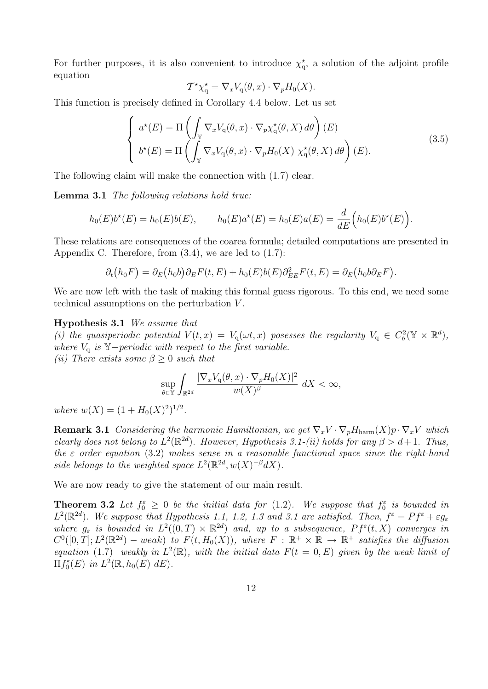For further purposes, it is also convenient to introduce  $\chi_q^*$ , a solution of the adjoint profile equation

$$
\mathcal{T}^{\star}\chi_{\mathbf{q}}^{\star} = \nabla_x V_{\mathbf{q}}(\theta, x) \cdot \nabla_p H_0(X).
$$

This function is precisely defined in Corollary 4.4 below. Let us set

$$
\begin{cases}\n a^{\star}(E) = \Pi \left( \int_{\mathbb{Y}} \nabla_x V_{\mathbf{q}}(\theta, x) \cdot \nabla_p \chi_{\mathbf{q}}^{\star}(\theta, X) \, d\theta \right) (E) \\
 b^{\star}(E) = \Pi \left( \int_{\mathbb{Y}} \nabla_x V_{\mathbf{q}}(\theta, x) \cdot \nabla_p H_0(X) \chi_{\mathbf{q}}^{\star}(\theta, X) \, d\theta \right) (E).\n\end{cases} \tag{3.5}
$$

The following claim will make the connection with (1.7) clear.

**Lemma 3.1** The following relations hold true:

$$
h_0(E)b^*(E) = h_0(E)b(E), \qquad h_0(E)a^*(E) = h_0(E)a(E) = \frac{d}{dE}\Big(h_0(E)b^*(E)\Big).
$$

These relations are consequences of the coarea formula; detailed computations are presented in Appendix C. Therefore, from  $(3.4)$ , we are led to  $(1.7)$ :

$$
\partial_t (h_0 F) = \partial_E (h_0 b) \partial_E F(t, E) + h_0 (E) b(E) \partial_{EE}^2 F(t, E) = \partial_E (h_0 b \partial_E F).
$$

We are now left with the task of making this formal guess rigorous. To this end, we need some technical assumptions on the perturbation V .

#### Hypothesis 3.1 We assume that

(i) the quasiperiodic potential  $V(t,x) = V_q(\omega t, x)$  posesses the regularity  $V_q \in C_b^2(\mathbb{Y} \times \mathbb{R}^d)$ , where  $V_q$  is Y−periodic with respect to the first variable. (ii) There exists some  $\beta \geq 0$  such that

$$
\sup_{\theta \in \mathbb{Y}} \int_{\mathbb{R}^{2d}} \frac{|\nabla_x V_{\mathbf{q}}(\theta, x) \cdot \nabla_p H_0(X)|^2}{w(X)^{\beta}} dX < \infty,
$$

where  $w(X) = (1 + H_0(X)^2)^{1/2}$ .

**Remark 3.1** Considering the harmonic Hamiltonian, we get  $\nabla_x V \cdot \nabla_p H_{\text{harm}}(X) p \cdot \nabla_x V$  which clearly does not belong to  $L^2(\mathbb{R}^{2d})$ . However, Hypothesis 3.1-(ii) holds for any  $\beta > d+1$ . Thus, the  $\varepsilon$  order equation (3.2) makes sense in a reasonable functional space since the right-hand side belongs to the weighted space  $L^2(\mathbb{R}^{2d}, w(X)^{-\beta}dX)$ .

We are now ready to give the statement of our main result.

**Theorem 3.2** Let  $f_0^{\varepsilon} \geq 0$  be the initial data for (1.2). We suppose that  $f_0^{\varepsilon}$  is bounded in  $L^2(\mathbb{R}^{2d})$ . We suppose that Hypothesis 1.1, 1.2, 1.3 and 3.1 are satisfied. Then,  $f^{\varepsilon} = Pf^{\varepsilon} + \varepsilon g_{\varepsilon}$ where  $g_{\varepsilon}$  is bounded in  $L^2((0,T) \times \mathbb{R}^{2d})$  and, up to a subsequence,  $Pf^{\varepsilon}(t,X)$  converges in  $C^0([0,T]; L^2(\mathbb{R}^{2d})-weak)$  to  $F(t, H_0(X))$ , where  $F : \mathbb{R}^+ \times \mathbb{R} \to \mathbb{R}^+$  satisfies the diffusion equation (1.7) weakly in  $L^2(\mathbb{R})$ , with the initial data  $F(t = 0, E)$  given by the weak limit of  $\Pi f_0^{\varepsilon}(E)$  in  $L^2(\mathbb{R}, h_0(E) dE)$ .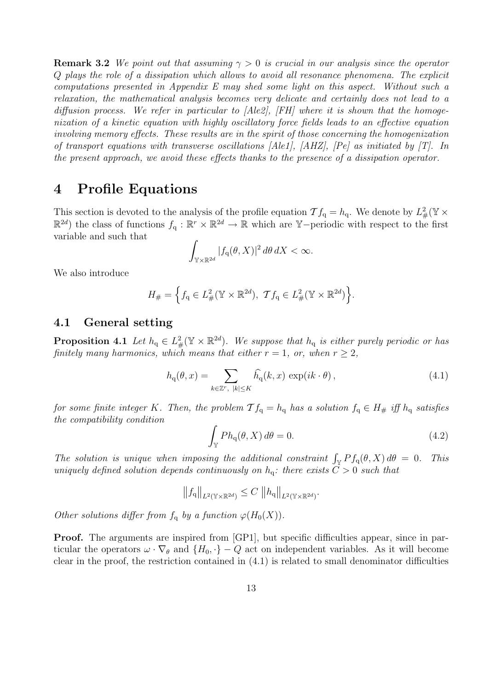**Remark 3.2** We point out that assuming  $\gamma > 0$  is crucial in our analysis since the operator Q plays the role of a dissipation which allows to avoid all resonance phenomena. The explicit computations presented in Appendix E may shed some light on this aspect. Without such a relaxation, the mathematical analysis becomes very delicate and certainly does not lead to a diffusion process. We refer in particular to [Ale2], [FH] where it is shown that the homogenization of a kinetic equation with highly oscillatory force fields leads to an effective equation involving memory effects. These results are in the spirit of those concerning the homogenization of transport equations with transverse oscillations  $[Ale1], [AHZ], [Pe]$  as initiated by [T]. In the present approach, we avoid these effects thanks to the presence of a dissipation operator.

### 4 Profile Equations

This section is devoted to the analysis of the profile equation  $\mathcal{T} f_q = h_q$ . We denote by  $L^2_{\#}(\mathbb{Y} \times$  $\mathbb{R}^{2d}$  the class of functions  $f_q : \mathbb{R}^r \times \mathbb{R}^{2d} \to \mathbb{R}$  which are Y-periodic with respect to the first variable and such that

$$
\int_{\mathbb{Y}\times\mathbb{R}^{2d}}|f_{\mathbf{q}}(\theta,X)|^2\,d\theta\,dX<\infty.
$$

We also introduce

$$
H_{\#} = \left\{ f_{\mathbf{q}} \in L^2_{\#}(\mathbb{Y} \times \mathbb{R}^{2d}), \ \mathcal{T} f_{\mathbf{q}} \in L^2_{\#}(\mathbb{Y} \times \mathbb{R}^{2d}) \right\}.
$$

#### 4.1 General setting

**Proposition 4.1** Let  $h_q \in L^2_{\#}(\mathbb{Y} \times \mathbb{R}^{2d})$ . We suppose that  $h_q$  is either purely periodic or has finitely many harmonics, which means that either  $r = 1$ , or, when  $r \geq 2$ ,

$$
h_{\mathbf{q}}(\theta, x) = \sum_{k \in \mathbb{Z}^r, \ |k| \le K} \widehat{h}_{\mathbf{q}}(k, x) \, \exp(ik \cdot \theta), \tag{4.1}
$$

for some finite integer K. Then, the problem  $\mathcal{T} f_q = h_q$  has a solution  $f_q \in H_{\#}$  iff  $h_q$  satisfies the compatibility condition

$$
\int_{\mathbb{Y}} Ph_{\mathbf{q}}(\theta, X) d\theta = 0.
$$
\n(4.2)

The solution is unique when imposing the additional constraint  $\int_{\mathbb{Y}} Pf_q(\theta, X) d\theta = 0$ . This uniquely defined solution depends continuously on  $h_q$ : there exists  $C > 0$  such that

$$
||f_{\mathbf{q}}||_{L^{2}(\mathbb{Y}\times\mathbb{R}^{2d})}\leq C||h_{\mathbf{q}}||_{L^{2}(\mathbb{Y}\times\mathbb{R}^{2d})}.
$$

Other solutions differ from  $f_q$  by a function  $\varphi(H_0(X))$ .

**Proof.** The arguments are inspired from [GP1], but specific difficulties appear, since in particular the operators  $\omega \cdot \nabla_{\theta}$  and  $\{H_0, \cdot\} - Q$  act on independent variables. As it will become clear in the proof, the restriction contained in (4.1) is related to small denominator difficulties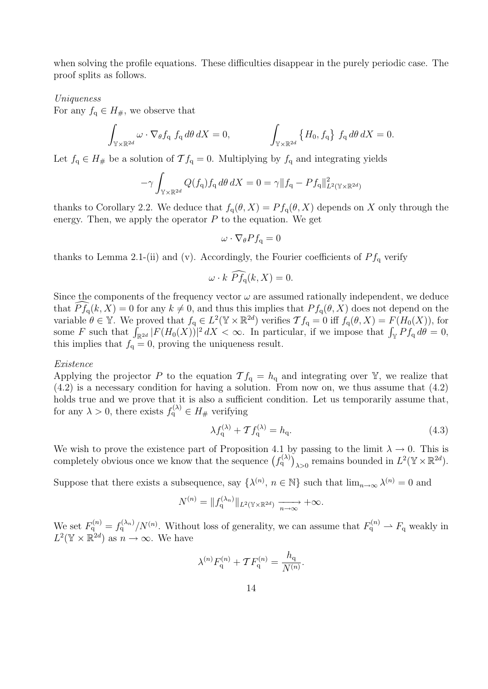when solving the profile equations. These difficulties disappear in the purely periodic case. The proof splits as follows.

#### Uniqueness

For any  $f_q \in H_{\#}$ , we observe that

$$
\int_{\mathbb{Y}\times\mathbb{R}^{2d}} \omega \cdot \nabla_{\theta} f_q \, f_q \, d\theta \, dX = 0, \qquad \qquad \int_{\mathbb{Y}\times\mathbb{R}^{2d}} \left\{ H_0, f_q \right\} f_q \, d\theta \, dX = 0.
$$

Let  $f_q \in H_{\#}$  be a solution of  $\mathcal{T} f_q = 0$ . Multiplying by  $f_q$  and integrating yields

$$
-\gamma \int_{\mathbb{Y}\times\mathbb{R}^{2d}} Q(f_q) f_q d\theta dX = 0 = \gamma \|f_q - Pf_q\|_{L^2(\mathbb{Y}\times\mathbb{R}^{2d})}^2
$$

thanks to Corollary 2.2. We deduce that  $f_q(\theta, X) = Pf_q(\theta, X)$  depends on X only through the energy. Then, we apply the operator  $P$  to the equation. We get

$$
\omega \cdot \nabla_{\theta} Pf_{\mathbf{q}} = 0
$$

thanks to Lemma 2.1-(ii) and (v). Accordingly, the Fourier coefficients of  $P_{f_q}$  verify

$$
\omega \cdot k \widehat{P} \widehat{f}_q(k, X) = 0.
$$

Since the components of the frequency vector  $\omega$  are assumed rationally independent, we deduce that  $P f_q(k, X) = 0$  for any  $k \neq 0$ , and thus this implies that  $P f_q(\theta, X)$  does not depend on the variable  $\theta \in \mathbb{Y}$ . We proved that  $f_q \in L^2(\mathbb{Y} \times \mathbb{R}^{2d})$  verifies  $\mathcal{T} f_q = 0$  iff  $f_q(\theta, X) = F(H_0(X))$ , for some F such that  $\int_{\mathbb{R}^{2d}} |F(H_0(X))|^2 dX < \infty$ . In particular, if we impose that  $\int_{\mathbb{Y}} Pf_q d\theta = 0$ , this implies that  $f_q = 0$ , proving the uniqueness result.

#### Existence

Applying the projector P to the equation  $\mathcal{T} f_q = h_q$  and integrating over Y, we realize that (4.2) is a necessary condition for having a solution. From now on, we thus assume that (4.2) holds true and we prove that it is also a sufficient condition. Let us temporarily assume that, for any  $\lambda > 0$ , there exists  $f_q^{(\lambda)} \in H_{\#}$  verifying

$$
\lambda f_{\mathbf{q}}^{(\lambda)} + \mathcal{T} f_{\mathbf{q}}^{(\lambda)} = h_{\mathbf{q}}.\tag{4.3}
$$

We wish to prove the existence part of Proposition 4.1 by passing to the limit  $\lambda \to 0$ . This is completely obvious once we know that the sequence  $(f_q^{(\lambda)})_{\lambda>0}$  remains bounded in  $L^2(\mathbb{Y}\times\mathbb{R}^{2d})$ .

Suppose that there exists a subsequence, say  $\{\lambda^{(n)}, n \in \mathbb{N}\}\$  such that  $\lim_{n\to\infty}\lambda^{(n)}=0$  and

$$
N^{(n)} = ||f_{\mathbf{q}}^{(\lambda_n)}||_{L^2(\mathbb{Y}\times\mathbb{R}^{2d})} \xrightarrow[n \to \infty]{} +\infty.
$$

We set  $F_q^{(n)} = f_q^{(\lambda_n)}/N^{(n)}$ . Without loss of generality, we can assume that  $F_q^{(n)} \to F_q$  weakly in  $L^2(\mathbb{Y} \times \mathbb{R}^{2d})$  as  $n \to \infty$ . We have

$$
\lambda^{(n)} F_{\mathbf{q}}^{(n)} + \mathcal{T} F_{\mathbf{q}}^{(n)} = \frac{h_{\mathbf{q}}}{N^{(n)}}.
$$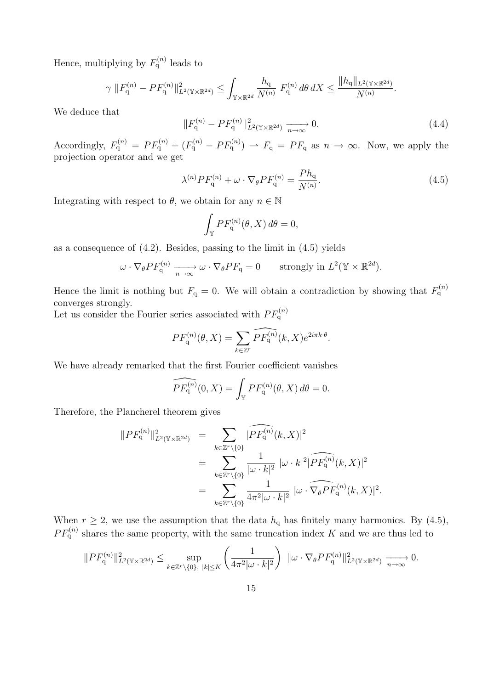Hence, multiplying by  $F_q^{(n)}$  leads to

$$
\gamma \|F_{\mathbf{q}}^{(n)} - PF_{\mathbf{q}}^{(n)}\|_{L^{2}(\mathbb{Y}\times\mathbb{R}^{2d})}^{2} \leq \int_{\mathbb{Y}\times\mathbb{R}^{2d}} \frac{h_{\mathbf{q}}}{N^{(n)}} F_{\mathbf{q}}^{(n)} d\theta dX \leq \frac{\|h_{\mathbf{q}}\|_{L^{2}(\mathbb{Y}\times\mathbb{R}^{2d})}}{N^{(n)}}.
$$

We deduce that

$$
||F_{\mathbf{q}}^{(n)} - PF_{\mathbf{q}}^{(n)}||_{L^{2}(\mathbb{Y}\times\mathbb{R}^{2d})}^{2} \xrightarrow[n \to \infty]{} 0.
$$
 (4.4)

Accordingly,  $F_q^{(n)} = PF_q^{(n)} + (F_q^{(n)} - PF_q^{(n)}) \rightharpoonup F_q = PF_q$  as  $n \to \infty$ . Now, we apply the projection operator and we get

$$
\lambda^{(n)} P F_{\mathbf{q}}^{(n)} + \omega \cdot \nabla_{\theta} P F_{\mathbf{q}}^{(n)} = \frac{P h_{\mathbf{q}}}{N^{(n)}}.
$$
\n(4.5)

Integrating with respect to  $\theta$ , we obtain for any  $n \in \mathbb{N}$ 

$$
\int_{\mathbb{Y}} PF_{\mathbf{q}}^{(n)}(\theta, X) d\theta = 0,
$$

as a consequence of  $(4.2)$ . Besides, passing to the limit in  $(4.5)$  yields

$$
\omega \cdot \nabla_{\theta} PF_{\mathbf{q}}^{(n)} \xrightarrow[n \to \infty]{} \omega \cdot \nabla_{\theta} PF_{\mathbf{q}} = 0 \quad \text{strongly in } L^2(\mathbb{Y} \times \mathbb{R}^{2d}).
$$

Hence the limit is nothing but  $F_q = 0$ . We will obtain a contradiction by showing that  $F_q^{(n)}$ converges strongly.

Let us consider the Fourier series associated with  $PF_q^{(n)}$ 

$$
PF_{\mathbf{q}}^{(n)}(\theta, X) = \sum_{k \in \mathbb{Z}^r} \widehat{PF_{\mathbf{q}}^{(n)}}(k, X) e^{2i\pi k \cdot \theta}.
$$

We have already remarked that the first Fourier coefficient vanishes

$$
\widehat{PF_{\mathbf{q}}^{(n)}}(0,X) = \int_{\mathbb{Y}} PF_{\mathbf{q}}^{(n)}(\theta, X) d\theta = 0.
$$

Therefore, the Plancherel theorem gives

$$
||PF_{q}^{(n)}||_{L^{2}(\mathbb{Y}\times\mathbb{R}^{2d})}^{2} = \sum_{k\in\mathbb{Z}^{r}\backslash\{0\}} \widehat{|PF_{q}^{(n)}(k,X)|^{2}}
$$
  
= 
$$
\sum_{k\in\mathbb{Z}^{r}\backslash\{0\}} \frac{1}{|\omega \cdot k|^{2}} |\omega \cdot k|^{2} |\widehat{PF_{q}^{(n)}(k,X)}|^{2}
$$
  
= 
$$
\sum_{k\in\mathbb{Z}^{r}\backslash\{0\}} \frac{1}{4\pi^{2}|\omega \cdot k|^{2}} |\omega \cdot \widehat{\nabla_{\theta}PF_{q}^{(n)}(k,X)}|^{2}.
$$

When  $r \ge 2$ , we use the assumption that the data  $h_q$  has finitely many harmonics. By (4.5),  $PF_{q}^{(n)}$  shares the same property, with the same truncation index K and we are thus led to

$$
||PF_{\mathbf{q}}^{(n)}||_{L^{2}(\mathbb{Y}\times\mathbb{R}^{2d})}^{2} \leq \sup_{k\in\mathbb{Z}^{r}\backslash\{0\},\ |k|\leq K} \left(\frac{1}{4\pi^{2}|\omega\cdot k|^{2}}\right) \ ||\omega\cdot\nabla_{\theta}PF_{\mathbf{q}}^{(n)}||_{L^{2}(\mathbb{Y}\times\mathbb{R}^{2d})}^{2} \xrightarrow[n\to\infty]{} 0.
$$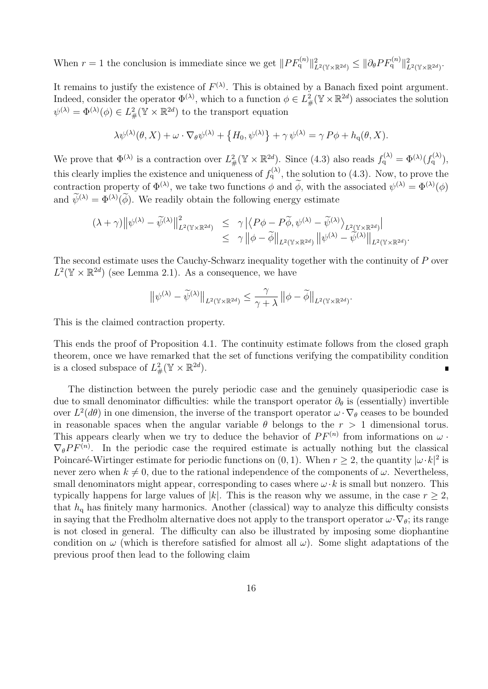When  $r = 1$  the conclusion is immediate since we get  $||PF_q^{(n)}||^2_{L^2(\mathbb{Y}\times\mathbb{R}^{2d})} \leq ||\partial_{\theta}PF_q^{(n)}||^2_{L^2(\mathbb{Y}\times\mathbb{R}^{2d})}$ .

It remains to justify the existence of  $F^{(\lambda)}$ . This is obtained by a Banach fixed point argument. Indeed, consider the operator  $\Phi^{(\lambda)}$ , which to a function  $\phi \in L^2_{\#}(\mathbb{Y} \times \mathbb{R}^{2d})$  associates the solution  $\psi^{(\lambda)} = \Phi^{(\lambda)}(\phi) \in L^2_{\#}(\mathbb{Y} \times \mathbb{R}^{2d})$  to the transport equation

$$
\lambda \psi^{(\lambda)}(\theta, X) + \omega \cdot \nabla_{\theta} \psi^{(\lambda)} + \{H_0, \psi^{(\lambda)}\} + \gamma \psi^{(\lambda)} = \gamma P \phi + h_q(\theta, X).
$$

We prove that  $\Phi^{(\lambda)}$  is a contraction over  $L^2_{\#}(\mathbb{Y} \times \mathbb{R}^{2d})$ . Since (4.3) also reads  $f_q^{(\lambda)} = \Phi^{(\lambda)}(f_q^{(\lambda)}),$ this clearly implies the existence and uniqueness of  $f_q^{(\lambda)}$ , the solution to (4.3). Now, to prove the contraction property of  $\Phi^{(\lambda)}$ , we take two functions  $\phi$  and  $\phi$ , with the associated  $\psi^{(\lambda)} = \Phi^{(\lambda)}(\phi)$ and  $\psi^{(\lambda)} = \Phi^{(\lambda)}(\phi)$ . We readily obtain the following energy estimate

$$
(\lambda + \gamma) \|\psi^{(\lambda)} - \widetilde{\psi}^{(\lambda)}\|_{L^2(\mathbb{Y} \times \mathbb{R}^{2d})}^2 \leq \gamma \|\langle P\phi - P\widetilde{\phi}, \psi^{(\lambda)} - \widetilde{\psi}^{(\lambda)}\rangle_{L^2(\mathbb{Y} \times \mathbb{R}^{2d})}\|_{L^2(\mathbb{Y} \times \mathbb{R}^{2d})} \leq \gamma \|\phi - \widetilde{\phi}\|_{L^2(\mathbb{Y} \times \mathbb{R}^{2d})} \|\psi^{(\lambda)} - \widetilde{\psi}^{(\lambda)}\|_{L^2(\mathbb{Y} \times \mathbb{R}^{2d})}.
$$

The second estimate uses the Cauchy-Schwarz inequality together with the continuity of P over  $L^2(\mathbb{Y} \times \mathbb{R}^{2d})$  (see Lemma 2.1). As a consequence, we have

$$
\big\|\psi^{(\lambda)}-\widetilde{\psi}^{(\lambda)}\big\|_{L^2(\mathbb Y\times\mathbb R^{2d})}\leq \frac{\gamma}{\gamma+\lambda}\left\|\phi-\widetilde{\phi}\right\|_{L^2(\mathbb Y\times\mathbb R^{2d})}.
$$

This is the claimed contraction property.

This ends the proof of Proposition 4.1. The continuity estimate follows from the closed graph theorem, once we have remarked that the set of functions verifying the compatibility condition is a closed subspace of  $L^2_{\#}(\mathbb{Y} \times \mathbb{R}^{2d})$ . П

The distinction between the purely periodic case and the genuinely quasiperiodic case is due to small denominator difficulties: while the transport operator  $\partial_{\theta}$  is (essentially) invertible over  $L^2(d\theta)$  in one dimension, the inverse of the transport operator  $\omega \cdot \nabla_{\theta}$  ceases to be bounded in reasonable spaces when the angular variable  $\theta$  belongs to the  $r > 1$  dimensional torus. This appears clearly when we try to deduce the behavior of  $PF^{(n)}$  from informations on  $\omega$ .  $\nabla_{\theta} PF^{(n)}$ . In the periodic case the required estimate is actually nothing but the classical Poincaré-Wirtinger estimate for periodic functions on  $(0, 1)$ . When  $r \geq 2$ , the quantity  $|\omega \cdot k|^2$  is never zero when  $k \neq 0$ , due to the rational independence of the components of  $\omega$ . Nevertheless, small denominators might appear, corresponding to cases where  $\omega \cdot k$  is small but nonzero. This typically happens for large values of |k|. This is the reason why we assume, in the case  $r \geq 2$ , that  $h_q$  has finitely many harmonics. Another (classical) way to analyze this difficulty consists in saying that the Fredholm alternative does not apply to the transport operator  $\omega \cdot \nabla_{\theta}$ ; its range is not closed in general. The difficulty can also be illustrated by imposing some diophantine condition on  $\omega$  (which is therefore satisfied for almost all  $\omega$ ). Some slight adaptations of the previous proof then lead to the following claim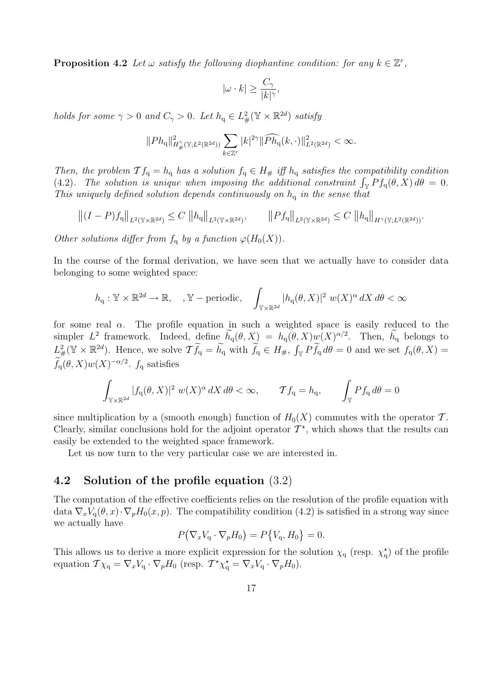**Proposition 4.2** Let  $\omega$  satisfy the following diophantine condition: for any  $k \in \mathbb{Z}^r$ ,

$$
|\omega \cdot k| \ge \frac{C_\gamma}{|k|^\gamma},
$$

holds for some  $\gamma > 0$  and  $C_{\gamma} > 0$ . Let  $h_q \in L^2_{\#}(\mathbb{Y} \times \mathbb{R}^{2d})$  satisfy

$$
||Ph_{q}||_{H^{\gamma}_{\#}(\mathbb{Y};L^{2}(\mathbb{R}^{2d}))} \sum_{k \in \mathbb{Z}^{r}} |k|^{2\gamma} ||\widehat{Ph}_{q}(k,\cdot)||_{L^{2}(\mathbb{R}^{2d})}^{2} < \infty.
$$

Then, the problem  $\mathcal{T} f_q = h_q$  has a solution  $f_q \in H_{\#}$  iff  $h_q$  satisfies the compatibility condition (4.2). The solution is unique when imposing the additional constraint  $\int_{\mathbb{Y}} Pf_q(\theta, X) d\theta = 0$ . This uniquely defined solution depends continuously on  $h_q$  in the sense that

$$
||(I - P)f_q||_{L^2(\mathbb{Y} \times \mathbb{R}^{2d})} \le C ||h_q||_{L^2(\mathbb{Y} \times \mathbb{R}^{2d})}, \qquad ||Pf_q||_{L^2(\mathbb{Y} \times \mathbb{R}^{2d})} \le C ||h_q||_{H^{\gamma}(\mathbb{Y}; L^2(\mathbb{R}^{2d}))}.
$$

Other solutions differ from  $f_q$  by a function  $\varphi(H_0(X))$ .

In the course of the formal derivation, we have seen that we actually have to consider data belonging to some weighted space:

$$
h_{\mathbf{q}} : \mathbb{Y} \times \mathbb{R}^{2d} \to \mathbb{R}, \quad, \mathbb{Y}-\text{periodic}, \quad \int_{\mathbb{Y} \times \mathbb{R}^{2d}} |h_{\mathbf{q}}(\theta, X)|^2 \, w(X)^{\alpha} \, dX \, d\theta < \infty
$$

for some real  $\alpha$ . The profile equation in such a weighted space is easily reduced to the simpler  $L^2$  framework. Indeed, define  $h_q(\theta, X) = h_q(\theta, X)w(X)^{\alpha/2}$ . Then,  $h_q$  belongs to  $L^2_{\#}(\mathbb{Y} \times \mathbb{R}^{2d})$ . Hence, we solve  $\mathcal{T}\widetilde{f}_q = \widetilde{h}_q$  with  $\widetilde{f}_q \in H_{\#}, \int_{\mathbb{Y}} P\widetilde{f}_q d\theta = 0$  and we set  $f_q(\theta, X) =$  $f_{\mathbf{q}}(\theta, X)w(X)^{-\alpha/2}$ .  $f_{\mathbf{q}}$  satisfies

$$
\int_{\mathbb{Y}\times\mathbb{R}^{2d}}|f_q(\theta,X)|^2\ w(X)^\alpha\,dX\,d\theta<\infty,\qquad \mathcal{T}f_q=h_q,\qquad \int_{\mathbb{Y}}Pf_q\,d\theta=0
$$

since multiplication by a (smooth enough) function of  $H_0(X)$  commutes with the operator T. Clearly, similar conclusions hold for the adjoint operator  $\mathcal{T}^*$ , which shows that the results can easily be extended to the weighted space framework.

Let us now turn to the very particular case we are interested in.

#### 4.2 Solution of the profile equation (3.2)

The computation of the effective coefficients relies on the resolution of the profile equation with data  $\nabla_x V_q(\theta, x) \cdot \nabla_p H_0(x, p)$ . The compatibility condition (4.2) is satisfied in a strong way since we actually have

$$
P(\nabla_x V_q \cdot \nabla_p H_0) = P\{V_q, H_0\} = 0.
$$

This allows us to derive a more explicit expression for the solution  $\chi_q$  (resp.  $\chi_q^*$ ) of the profile equation  $\mathcal{T}\chi_q = \nabla_x V_q \cdot \nabla_p H_0$  (resp.  $\mathcal{T}^* \chi_q^* = \nabla_x V_q \cdot \nabla_p H_0$ ).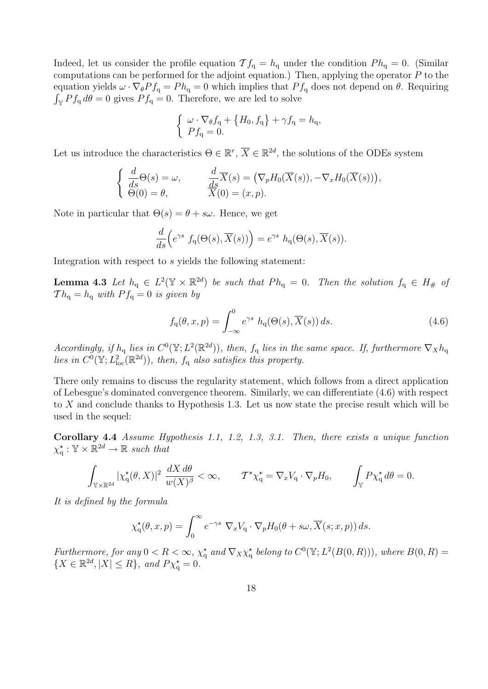Indeed, let us consider the profile equation  $\mathcal{T} f_q = h_q$  under the condition  $Ph_q = 0$ . (Similar computations can be performed for the adjoint equation.) Then, applying the operator  $P$  to the equation yields  $\omega \cdot \nabla_{\theta} Pf_q = Ph_q = 0$  which implies that  $Pf_q$  does not depend on  $\theta$ . Requiring  $\int_{\mathbb{Y}} Pf_q d\theta = 0$  gives  $Pf_q = 0$ . Therefore, we are led to solve

$$
\begin{cases} \omega \cdot \nabla_{\theta} f_{\mathbf{q}} + \{H_0, f_{\mathbf{q}}\} + \gamma f_{\mathbf{q}} = h_{\mathbf{q}},\\ P f_{\mathbf{q}} = 0. \end{cases}
$$

Let us introduce the characteristics  $\Theta \in \mathbb{R}^r$ ,  $\overline{X} \in \mathbb{R}^{2d}$ , the solutions of the ODEs system

$$
\begin{cases}\n\frac{d}{ds}\Theta(s) = \omega, & \frac{d}{ds}\overline{X}(s) = (\nabla_p H_0(\overline{X}(s)), -\nabla_x H_0(\overline{X}(s))), \n\Theta(0) = \theta, & \overline{X}(0) = (x, p).\n\end{cases}
$$

Note in particular that  $\Theta(s) = \theta + s\omega$ . Hence, we get

$$
\frac{d}{ds}\Big(e^{\gamma s} f_q(\Theta(s), \overline{X}(s))\Big) = e^{\gamma s} h_q(\Theta(s), \overline{X}(s)).
$$

Integration with respect to s yields the following statement:

**Lemma 4.3** Let  $h_q \in L^2(\mathbb{Y} \times \mathbb{R}^{2d})$  be such that  $Ph_q = 0$ . Then the solution  $f_q \in H_{\#}$  of  $Th_q = h_q$  with  $P f_q = 0$  is given by

$$
f_{\mathbf{q}}(\theta, x, p) = \int_{-\infty}^{0} e^{\gamma s} h_{\mathbf{q}}(\Theta(s), \overline{X}(s)) ds.
$$
 (4.6)

Accordingly, if  $h_q$  lies in  $C^0(\mathbb{Y}; L^2(\mathbb{R}^{2d}))$ , then,  $f_q$  lies in the same space. If, furthermore  $\nabla_X h_q$ lies in  $C^0(\mathbb{Y}; L^2_{loc}(\mathbb{R}^{2d}))$ , then,  $f_q$  also satisfies this property.

There only remains to discuss the regularity statement, which follows from a direct application of Lebesgue's dominated convergence theorem. Similarly, we can differentiate (4.6) with respect to X and conclude thanks to Hypothesis 1.3. Let us now state the precise result which will be used in the sequel:

Corollary 4.4 Assume Hypothesis 1.1, 1.2, 1.3, 3.1. Then, there exists a unique function  $\chi_q^{\star} : \mathbb{Y} \times \mathbb{R}^{2d} \to \mathbb{R}$  such that

$$
\int_{\mathbb{Y}\times\mathbb{R}^{2d}}|\chi_{\mathbf{q}}^{\star}(\theta,X)|^2\;\frac{dX\,d\theta}{w(X)^{\beta}}<\infty,\qquad \mathcal{T}^{\star}\chi_{\mathbf{q}}^{\star}=\nabla_xV_{\mathbf{q}}\cdot\nabla_pH_0,\qquad \int_{\mathbb{Y}}P\chi_{\mathbf{q}}^{\star}\,d\theta=0.
$$

It is defined by the formula

$$
\chi_{\mathbf{q}}^{\star}(\theta, x, p) = \int_0^{\infty} e^{-\gamma s} \nabla_x V_{\mathbf{q}} \cdot \nabla_p H_0(\theta + s\omega, \overline{X}(s; x, p)) ds.
$$

Furthermore, for any  $0 < R < \infty$ ,  $\chi_q^*$  and  $\nabla_X \chi_q^*$  belong to  $C^0(\mathbb{Y}; L^2(B(0,R)))$ , where  $B(0,R)$  $\{X \in \mathbb{R}^{2d}, |X| \leq R\}$ , and  $P\chi_q^* = 0$ .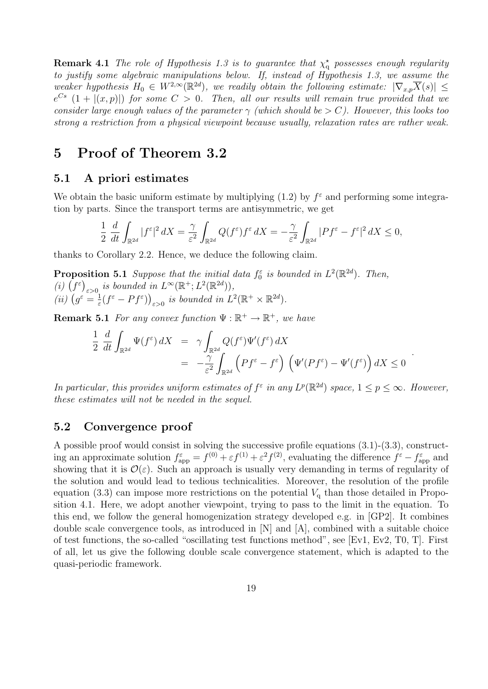**Remark 4.1** The role of Hypothesis 1.3 is to guarantee that  $\chi_q^*$  possesses enough regularity to justify some algebraic manipulations below. If, instead of Hypothesis 1.3, we assume the weaker hypothesis  $H_0 \in W^{2,\infty}(\mathbb{R}^{2d})$ , we readily obtain the following estimate:  $|\nabla_{x,p}\overline{X}(s)| \leq$  $e^{Cs}$   $(1+|(x,p)|)$  for some  $C>0$ . Then, all our results will remain true provided that we consider large enough values of the parameter  $\gamma$  (which should be  $> C$ ). However, this looks too strong a restriction from a physical viewpoint because usually, relaxation rates are rather weak.

### 5 Proof of Theorem 3.2

#### 5.1 A priori estimates

We obtain the basic uniform estimate by multiplying  $(1.2)$  by  $f^{\epsilon}$  and performing some integration by parts. Since the transport terms are antisymmetric, we get

$$
\frac{1}{2} \frac{d}{dt} \int_{\mathbb{R}^{2d}} |f^{\varepsilon}|^{2} dX = \frac{\gamma}{\varepsilon^{2}} \int_{\mathbb{R}^{2d}} Q(f^{\varepsilon}) f^{\varepsilon} dX = -\frac{\gamma}{\varepsilon^{2}} \int_{\mathbb{R}^{2d}} |Pf^{\varepsilon} - f^{\varepsilon}|^{2} dX \le 0,
$$

thanks to Corollary 2.2. Hence, we deduce the following claim.

**Proposition 5.1** Suppose that the initial data  $f_0^{\varepsilon}$  is bounded in  $L^2(\mathbb{R}^{2d})$ . Then, (i)  $(f^{\varepsilon})_{\varepsilon>0}$  is bounded in  $L^{\infty}(\mathbb{R}^+; L^2(\mathbb{R}^{2d}))$ , (ii)  $(g^{\varepsilon} = \frac{1}{\varepsilon})$  $\frac{1}{\varepsilon}(f^{\varepsilon}-Pf^{\varepsilon})\big)_{\varepsilon>0}$  is bounded in  $L^2(\mathbb{R}^+\times\mathbb{R}^{2d})$ .

**Remark 5.1** For any convex function  $\Psi : \mathbb{R}^+ \to \mathbb{R}^+$ , we have

$$
\frac{1}{2} \frac{d}{dt} \int_{\mathbb{R}^{2d}} \Psi(f^{\varepsilon}) dX = \gamma \int_{\mathbb{R}^{2d}} Q(f^{\varepsilon}) \Psi'(f^{\varepsilon}) dX \n= -\frac{\gamma}{\varepsilon^{2}} \int_{\mathbb{R}^{2d}} \left( Pf^{\varepsilon} - f^{\varepsilon} \right) \left( \Psi'(Pf^{\varepsilon}) - \Psi'(f^{\varepsilon}) \right) dX \le 0
$$

.

In particular, this provides uniform estimates of  $f^{\varepsilon}$  in any  $L^p(\mathbb{R}^{2d})$  space,  $1 \leq p \leq \infty$ . However, these estimates will not be needed in the sequel.

#### 5.2 Convergence proof

A possible proof would consist in solving the successive profile equations (3.1)-(3.3), constructing an approximate solution  $f_{app}^{\varepsilon} = f^{(0)} + \varepsilon f^{(1)} + \varepsilon^2 f^{(2)}$ , evaluating the difference  $f^{\varepsilon} - f_{app}^{\varepsilon}$  and showing that it is  $\mathcal{O}(\varepsilon)$ . Such an approach is usually very demanding in terms of regularity of the solution and would lead to tedious technicalities. Moreover, the resolution of the profile equation (3.3) can impose more restrictions on the potential  $V_q$  than those detailed in Proposition 4.1. Here, we adopt another viewpoint, trying to pass to the limit in the equation. To this end, we follow the general homogenization strategy developed e.g. in [GP2]. It combines double scale convergence tools, as introduced in [N] and [A], combined with a suitable choice of test functions, the so-called "oscillating test functions method", see [Ev1, Ev2, T0, T]. First of all, let us give the following double scale convergence statement, which is adapted to the quasi-periodic framework.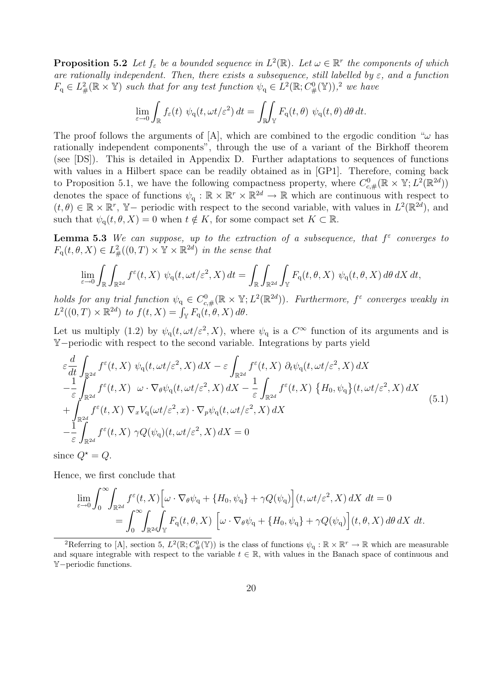**Proposition 5.2** Let  $f_{\varepsilon}$  be a bounded sequence in  $L^2(\mathbb{R})$ . Let  $\omega \in \mathbb{R}^r$  the components of which are rationally independent. Then, there exists a subsequence, still labelled by  $\varepsilon$ , and a function  $F_q \in L^2_{\#}(\mathbb{R} \times \mathbb{Y})$  such that for any test function  $\psi_q \in L^2(\mathbb{R}; C^0_{\#}(\mathbb{Y}))$ , we have

$$
\lim_{\varepsilon \to 0} \int_{\mathbb{R}} f_{\varepsilon}(t) \psi_{\mathbf{q}}(t, \omega t/\varepsilon^2) dt = \iint_{\mathbb{R}} \int_{\mathbb{Y}} F_{\mathbf{q}}(t, \theta) \psi_{\mathbf{q}}(t, \theta) d\theta dt.
$$

The proof follows the arguments of [A], which are combined to the ergodic condition " $\omega$  has rationally independent components", through the use of a variant of the Birkhoff theorem (see [DS]). This is detailed in Appendix D. Further adaptations to sequences of functions with values in a Hilbert space can be readily obtained as in [GP1]. Therefore, coming back to Proposition 5.1, we have the following compactness property, where  $C_{c,\#}^0(\mathbb{R} \times \mathbb{Y}; L^2(\mathbb{R}^{2d}))$ denotes the space of functions  $\psi_q : \mathbb{R} \times \mathbb{R}^r \times \mathbb{R}^{2d} \to \mathbb{R}$  which are continuous with respect to  $(t, \theta) \in \mathbb{R} \times \mathbb{R}^r$ , Y – periodic with respect to the second variable, with values in  $L^2(\mathbb{R}^{2d})$ , and such that  $\psi_{\mathsf{q}}(t, \theta, X) = 0$  when  $t \notin K$ , for some compact set  $K \subset \mathbb{R}$ .

**Lemma 5.3** We can suppose, up to the extraction of a subsequence, that  $f^{\varepsilon}$  converges to  $F_q(t, \theta, X) \in L^2_{\#}((0, T) \times \mathbb{Y} \times \mathbb{R}^{2d})$  in the sense that

$$
\lim_{\varepsilon \to 0} \int_{\mathbb{R}} \int_{\mathbb{R}^{2d}} f^{\varepsilon}(t, X) \ \psi_{\mathbf{q}}(t, \omega t/\varepsilon^{2}, X) dt = \int_{\mathbb{R}} \int_{\mathbb{R}^{2d}} \int_{\mathbb{Y}} F_{\mathbf{q}}(t, \theta, X) \ \psi_{\mathbf{q}}(t, \theta, X) d\theta dX dt,
$$

holds for any trial function  $\psi_q \in C^0_{c, \#}(\mathbb{R} \times \mathbb{Y}; L^2(\mathbb{R}^{2d}))$ . Furthermore,  $f^{\varepsilon}$  converges weakly in  $L^2((0,T)\times \mathbb{R}^{2d})$  to  $f(t,X)=\int_{\mathbb{Y}} F_q(t,\theta,X)\,d\theta.$ 

Let us multiply (1.2) by  $\psi_q(t, \omega t/\varepsilon^2, X)$ , where  $\psi_q$  is a  $C^{\infty}$  function of its arguments and is Y−periodic with respect to the second variable. Integrations by parts yield

$$
\varepsilon \frac{d}{dt} \int_{\mathbb{R}^{2d}} f^{\varepsilon}(t, X) \psi_{\mathbf{q}}(t, \omega t/\varepsilon^{2}, X) dX - \varepsilon \int_{\mathbb{R}^{2d}} f^{\varepsilon}(t, X) \partial_{t} \psi_{\mathbf{q}}(t, \omega t/\varepsilon^{2}, X) dX \n- \frac{1}{\varepsilon} \int_{\mathbb{R}^{2d}} f^{\varepsilon}(t, X) \omega \cdot \nabla_{\theta} \psi_{\mathbf{q}}(t, \omega t/\varepsilon^{2}, X) dX - \frac{1}{\varepsilon} \int_{\mathbb{R}^{2d}} f^{\varepsilon}(t, X) \{H_{0}, \psi_{\mathbf{q}}\}(t, \omega t/\varepsilon^{2}, X) dX \n+ \int_{\mathbb{R}^{2d}} f^{\varepsilon}(t, X) \nabla_{x} V_{\mathbf{q}}(\omega t/\varepsilon^{2}, x) \cdot \nabla_{p} \psi_{\mathbf{q}}(t, \omega t/\varepsilon^{2}, X) dX \n- \frac{1}{\varepsilon} \int_{\mathbb{R}^{2d}} f^{\varepsilon}(t, X) \gamma Q(\psi_{\mathbf{q}})(t, \omega t/\varepsilon^{2}, X) dX = 0
$$
\n(5.1)

since  $Q^* = Q$ .

Hence, we first conclude that

$$
\lim_{\varepsilon \to 0} \int_0^\infty \int_{\mathbb{R}^{2d}} f^{\varepsilon}(t, X) \left[ \omega \cdot \nabla_{\theta} \psi_q + \{H_0, \psi_q\} + \gamma Q(\psi_q) \right] (t, \omega t/\varepsilon^2, X) dX dt = 0
$$
  
= 
$$
\int_0^\infty \int_{\mathbb{R}^{2d}} \int_{\mathbb{Y}} F_q(t, \theta, X) \left[ \omega \cdot \nabla_{\theta} \psi_q + \{H_0, \psi_q\} + \gamma Q(\psi_q) \right] (t, \theta, X) d\theta dX dt.
$$

<sup>&</sup>lt;sup>2</sup>Referring to [A], section 5,  $L^2(\mathbb{R}; C^0_{\#}(\mathbb{Y}))$  is the class of functions  $\psi_q : \mathbb{R} \times \mathbb{R}^r \to \mathbb{R}$  which are measurable and square integrable with respect to the variable  $t \in \mathbb{R}$ , with values in the Banach space of continuous and Y−periodic functions.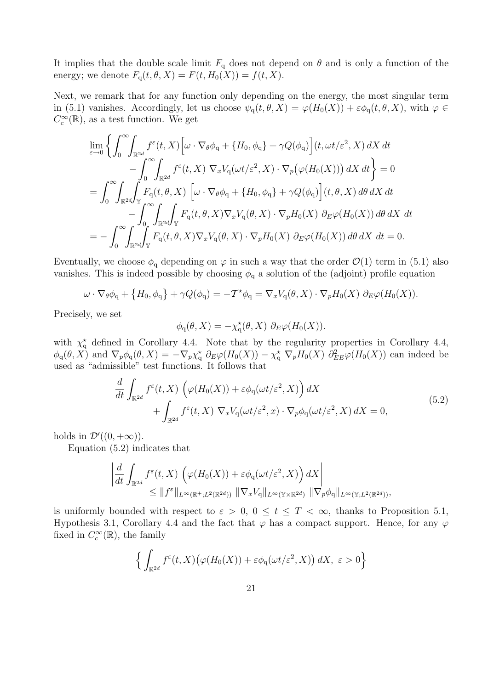It implies that the double scale limit  $F_q$  does not depend on  $\theta$  and is only a function of the energy; we denote  $F_q(t, \theta, X) = F(t, H_0(X)) = f(t, X)$ .

Next, we remark that for any function only depending on the energy, the most singular term in (5.1) vanishes. Accordingly, let us choose  $\psi_q(t, \theta, X) = \varphi(H_0(X)) + \varepsilon \phi_q(t, \theta, X)$ , with  $\varphi \in$  $C_c^\infty(\mathbb{R}),$  as a test function. We get

$$
\lim_{\varepsilon \to 0} \left\{ \int_0^\infty \int_{\mathbb{R}^{2d}} f^{\varepsilon}(t, X) \left[ \omega \cdot \nabla_{\theta} \phi_q + \{H_0, \phi_q\} + \gamma Q(\phi_q) \right] (t, \omega t/\varepsilon^2, X) dX dt \right. \n- \int_0^\infty \int_{\mathbb{R}^{2d}} f^{\varepsilon}(t, X) \nabla_x V_q(\omega t/\varepsilon^2, X) \cdot \nabla_p (\varphi(H_0(X))) dX dt \right\} = 0 \n= \int_0^\infty \int_{\mathbb{R}^{2d}} \int_{\mathbb{Y}} F_q(t, \theta, X) \left[ \omega \cdot \nabla_{\theta} \phi_q + \{H_0, \phi_q\} + \gamma Q(\phi_q) \right] (t, \theta, X) d\theta dX dt \n- \int_0^\infty \int_{\mathbb{R}^{2d}} \int_{\mathbb{Y}} F_q(t, \theta, X) \nabla_x V_q(\theta, X) \cdot \nabla_p H_0(X) \partial_E \varphi(H_0(X)) d\theta dX dt \n= - \int_0^\infty \int_{\mathbb{R}^{2d}} \int_{\mathbb{Y}} F_q(t, \theta, X) \nabla_x V_q(\theta, X) \cdot \nabla_p H_0(X) \partial_E \varphi(H_0(X)) d\theta dX dt = 0.
$$

Eventually, we choose  $\phi_q$  depending on  $\varphi$  in such a way that the order  $\mathcal{O}(1)$  term in (5.1) also vanishes. This is indeed possible by choosing  $\phi_q$  a solution of the (adjoint) profile equation

$$
\omega \cdot \nabla_{\theta} \phi_{q} + \{H_{0}, \phi_{q}\} + \gamma Q(\phi_{q}) = -\mathcal{T}^{\star} \phi_{q} = \nabla_{x} V_{q}(\theta, X) \cdot \nabla_{p} H_{0}(X) \partial_{E} \varphi(H_{0}(X)).
$$

Precisely, we set

$$
\phi_{\mathbf{q}}(\theta, X) = -\chi_{\mathbf{q}}^{\star}(\theta, X) \partial_E \varphi(H_0(X)).
$$

with  $\chi^*_{q}$  defined in Corollary 4.4. Note that by the regularity properties in Corollary 4.4,  $\phi_q(\theta, X)$  and  $\nabla_p \phi_q(\theta, X) = -\nabla_p \chi_q^* \partial_E \varphi(H_0(X)) - \chi_q^* \nabla_p H_0(X) \partial_{EE}^2 \varphi(H_0(X))$  can indeed be used as "admissible" test functions. It follows that

$$
\frac{d}{dt} \int_{\mathbb{R}^{2d}} f^{\varepsilon}(t, X) \left( \varphi(H_0(X)) + \varepsilon \phi_q(\omega t/\varepsilon^2, X) \right) dX \n+ \int_{\mathbb{R}^{2d}} f^{\varepsilon}(t, X) \nabla_x V_q(\omega t/\varepsilon^2, x) \cdot \nabla_p \phi_q(\omega t/\varepsilon^2, X) dX = 0,
$$
\n(5.2)

holds in  $\mathcal{D}'((0, +\infty))$ .

Equation (5.2) indicates that

$$
\left| \frac{d}{dt} \int_{\mathbb{R}^{2d}} f^{\varepsilon}(t, X) \left( \varphi(H_0(X)) + \varepsilon \phi_{\mathbf{q}}(\omega t/\varepsilon^2, X) \right) dX \right|
$$
  
\n
$$
\leq \| f^{\varepsilon} \|_{L^{\infty}(\mathbb{R}^+; L^2(\mathbb{R}^{2d}))} \| \nabla_x V_{\mathbf{q}} \|_{L^{\infty}(\mathbb{Y} \times \mathbb{R}^{2d})} \| \nabla_p \phi_{\mathbf{q}} \|_{L^{\infty}(\mathbb{Y}; L^2(\mathbb{R}^{2d}))},
$$

is uniformly bounded with respect to  $\varepsilon > 0$ ,  $0 \le t \le T < \infty$ , thanks to Proposition 5.1, Hypothesis 3.1, Corollary 4.4 and the fact that  $\varphi$  has a compact support. Hence, for any  $\varphi$ fixed in  $C_c^{\infty}(\mathbb{R})$ , the family

$$
\Big\{ \int_{\mathbb{R}^{2d}} f^{\varepsilon}(t, X) \big( \varphi(H_0(X)) + \varepsilon \phi_{\mathbf{q}}(\omega t/\varepsilon^2, X) \big) dX, \ \varepsilon > 0 \Big\}
$$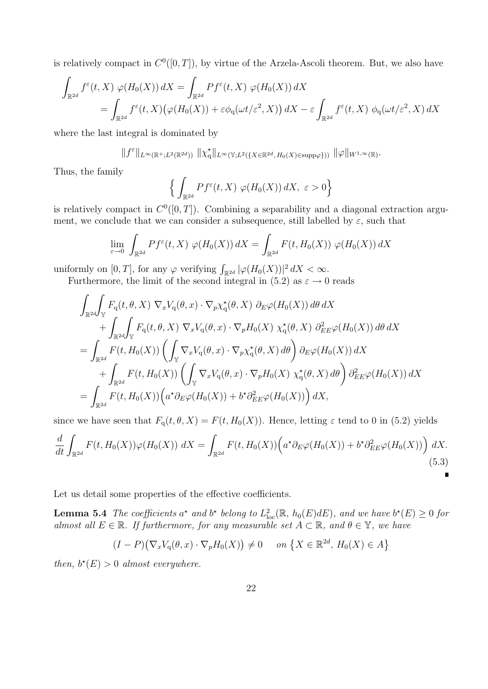is relatively compact in  $C^0([0,T])$ , by virtue of the Arzela-Ascoli theorem. But, we also have

$$
\int_{\mathbb{R}^{2d}} f^{\varepsilon}(t, X) \varphi(H_0(X)) dX = \int_{\mathbb{R}^{2d}} Pf^{\varepsilon}(t, X) \varphi(H_0(X)) dX
$$
\n
$$
= \int_{\mathbb{R}^{2d}} f^{\varepsilon}(t, X) \big(\varphi(H_0(X)) + \varepsilon \phi_q(\omega t/\varepsilon^2, X)\big) dX - \varepsilon \int_{\mathbb{R}^{2d}} f^{\varepsilon}(t, X) \varphi_q(\omega t/\varepsilon^2, X) dX
$$

where the last integral is dominated by

$$
||f^{\varepsilon}||_{L^{\infty}(\mathbb{R}^{+};L^{2}(\mathbb{R}^{2d}))} ||\chi_{\mathbf{q}}^{\star}||_{L^{\infty}(\mathbb{Y};L^{2}(\{X\in\mathbb{R}^{2d},H_{0}(X)\in\text{supp}\varphi\}))} ||\varphi||_{W^{1,\infty}(\mathbb{R})}.
$$

Thus, the family

$$
\Big\{ \int_{\mathbb{R}^{2d}} Pf^{\varepsilon}(t, X) \varphi(H_0(X)) dX, \ \varepsilon > 0 \Big\}
$$

is relatively compact in  $C^0([0,T])$ . Combining a separability and a diagonal extraction argument, we conclude that we can consider a subsequence, still labelled by  $\varepsilon$ , such that

$$
\lim_{\varepsilon \to 0} \int_{\mathbb{R}^{2d}} Pf^{\varepsilon}(t, X) \varphi(H_0(X)) dX = \int_{\mathbb{R}^{2d}} F(t, H_0(X)) \varphi(H_0(X)) dX
$$

uniformly on  $[0, T]$ , for any  $\varphi$  verifying  $\int_{\mathbb{R}^{2d}} |\varphi(H_0(X))|^2 dX < \infty$ .

Furthermore, the limit of the second integral in (5.2) as  $\varepsilon \to 0$  reads

$$
\int_{\mathbb{R}^{2d}} \int_{\mathbb{Y}} F_{q}(t, \theta, X) \nabla_{x} V_{q}(\theta, x) \cdot \nabla_{p} \chi_{q}^{\star}(\theta, X) \partial_{E} \varphi(H_{0}(X)) d\theta dX \n+ \int_{\mathbb{R}^{2d}} \int_{\mathbb{Y}} F_{q}(t, \theta, X) \nabla_{x} V_{q}(\theta, x) \cdot \nabla_{p} H_{0}(X) \chi_{q}^{\star}(\theta, X) \partial_{E}^{2} \varphi(H_{0}(X)) d\theta dX \n= \int_{\mathbb{R}^{2d}} F(t, H_{0}(X)) \left( \int_{\mathbb{Y}} \nabla_{x} V_{q}(\theta, x) \cdot \nabla_{p} \chi_{q}^{\star}(\theta, X) d\theta \right) \partial_{E} \varphi(H_{0}(X)) dX \n+ \int_{\mathbb{R}^{2d}} F(t, H_{0}(X)) \left( \int_{\mathbb{Y}} \nabla_{x} V_{q}(\theta, x) \cdot \nabla_{p} H_{0}(X) \chi_{q}^{\star}(\theta, X) d\theta \right) \partial_{E}^{2} \varphi(H_{0}(X)) dX \n= \int_{\mathbb{R}^{2d}} F(t, H_{0}(X)) \left( a^{\star} \partial_{E} \varphi(H_{0}(X)) + b^{\star} \partial_{E}^{2} \varphi(H_{0}(X)) \right) dX,
$$

since we have seen that  $F_q(t, \theta, X) = F(t, H_0(X))$ . Hence, letting  $\varepsilon$  tend to 0 in (5.2) yields

$$
\frac{d}{dt} \int_{\mathbb{R}^{2d}} F(t, H_0(X)) \varphi(H_0(X)) dX = \int_{\mathbb{R}^{2d}} F(t, H_0(X)) \Big( a^* \partial_E \varphi(H_0(X)) + b^* \partial_{EE}^2 \varphi(H_0(X)) \Big) dX. \tag{5.3}
$$

 $\blacksquare$ 

Let us detail some properties of the effective coefficients.

**Lemma 5.4** The coefficients  $a^*$  and  $b^*$  belong to  $L^2_{loc}(\mathbb{R}, h_0(E)dE)$ , and we have  $b^*(E) \geq 0$  for almost all  $E \in \mathbb{R}$ . If furthermore, for any measurable set  $A \subset \mathbb{R}$ , and  $\theta \in \mathbb{Y}$ , we have

$$
(I - P)(\nabla_x V_q(\theta, x) \cdot \nabla_p H_0(X)) \neq 0 \quad on \{X \in \mathbb{R}^{2d}, H_0(X) \in A\}
$$

then,  $b^*(E) > 0$  almost everywhere.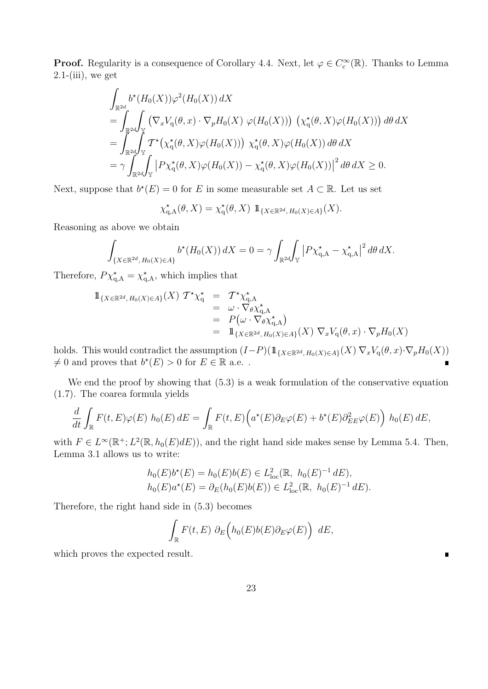**Proof.** Regularity is a consequence of Corollary 4.4. Next, let  $\varphi \in C_c^{\infty}(\mathbb{R})$ . Thanks to Lemma  $2.1-(iii)$ , we get

$$
\int_{\mathbb{R}^{2d}} b^{\star} (H_0(X)) \varphi^2 (H_0(X)) dX
$$
\n
$$
= \int_{\mathbb{R}^{2d}} \int_{\mathbb{Y}} \left( \nabla_x V_q(\theta, x) \cdot \nabla_p H_0(X) \varphi (H_0(X)) \right) \left( \chi_q^{\star}(\theta, X) \varphi (H_0(X)) \right) d\theta dX
$$
\n
$$
= \int_{\mathbb{R}^{2d}} \int_{\mathbb{Y}} T^{\star} \left( \chi_q^{\star}(\theta, X) \varphi (H_0(X)) \right) \chi_q^{\star}(\theta, X) \varphi (H_0(X)) d\theta dX
$$
\n
$$
= \gamma \int_{\mathbb{R}^{2d}} \int_{\mathbb{Y}} \left| P \chi_q^{\star}(\theta, X) \varphi (H_0(X)) - \chi_q^{\star}(\theta, X) \varphi (H_0(X)) \right|^2 d\theta dX \ge 0.
$$

Next, suppose that  $b^*(E) = 0$  for E in some measurable set  $A \subset \mathbb{R}$ . Let us set

$$
\chi_{\mathbf{q},\mathbf{A}}^*(\theta,X) = \chi_{\mathbf{q}}^*(\theta,X) \mathbb{1}_{\{X \in \mathbb{R}^{2d}, H_0(X) \in A\}}(X).
$$

Reasoning as above we obtain

$$
\int_{\{X\in\mathbb{R}^{2d}, H_0(X)\in A\}} b^\star(H_0(X)) dX = 0 = \gamma \int_{\mathbb{R}^{2d}} \int_{\mathbb{Y}} \left| P\chi_{\mathbf{q},\mathbf{A}}^\star - \chi_{\mathbf{q},\mathbf{A}}^\star \right|^2 d\theta dX.
$$

Therefore,  $P\chi_{\rm q,A}^* = \chi_{\rm q,A}^*$ , which implies that

$$
\begin{array}{rcl}\n\mathbb{1}_{\{X \in \mathbb{R}^{2d}, H_0(X) \in A\}}(X) \, \mathcal{T}^\star \chi_q^\star & = & \mathcal{T}^\star \chi_{q,A}^\star \\
& = & \omega \cdot \nabla_{\theta} \chi_{q,A}^\star \\
& = & P\big(\omega \cdot \nabla_{\theta} \chi_{q,A}^\star\big) \\
& = & \mathbb{1}_{\{X \in \mathbb{R}^{2d}, H_0(X) \in A\}}(X) \, \nabla_x V_q(\theta, x) \cdot \nabla_p H_0(X)\n\end{array}
$$

holds. This would contradict the assumption  $(I-P)(1\!\!1_{\{X\in\mathbb{R}^{2d}, H_0(X)\in A\}}(X)\nabla_xV_q(\theta, x)\cdot \nabla_pH_0(X))$  $\neq 0$  and proves that  $b^*(E) > 0$  for  $E \in \mathbb{R}$  a.e..

We end the proof by showing that  $(5.3)$  is a weak formulation of the conservative equation (1.7). The coarea formula yields

$$
\frac{d}{dt} \int_{\mathbb{R}} F(t, E) \varphi(E) h_0(E) dE = \int_{\mathbb{R}} F(t, E) \Big( a^*(E) \partial_E \varphi(E) + b^*(E) \partial_{EE}^2 \varphi(E) \Big) h_0(E) dE,
$$

with  $F \in L^{\infty}(\mathbb{R}^+; L^2(\mathbb{R}, h_0(E)dE))$ , and the right hand side makes sense by Lemma 5.4. Then, Lemma 3.1 allows us to write:

$$
h_0(E)b^*(E) = h_0(E)b(E) \in L^2_{loc}(\mathbb{R}, h_0(E)^{-1} dE),
$$
  

$$
h_0(E)a^*(E) = \partial_E(h_0(E)b(E)) \in L^2_{loc}(\mathbb{R}, h_0(E)^{-1} dE).
$$

Therefore, the right hand side in (5.3) becomes

$$
\int_{\mathbb{R}} F(t, E) \, \partial_E \Big( h_0(E) b(E) \partial_E \varphi(E) \Big) \, dE,
$$

 $\blacksquare$ 

which proves the expected result.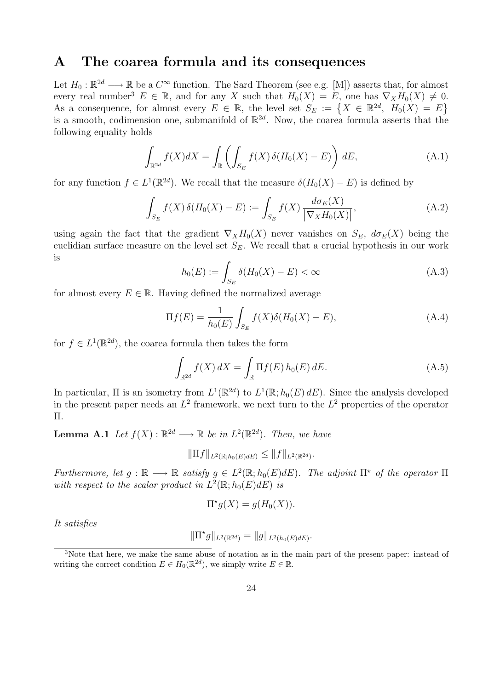### A The coarea formula and its consequences

Let  $H_0: \mathbb{R}^{2d} \longrightarrow \mathbb{R}$  be a  $C^{\infty}$  function. The Sard Theorem (see e.g. [M]) asserts that, for almost every real number<sup>3</sup>  $E \in \mathbb{R}$ , and for any X such that  $H_0(X) = E$ , one has  $\nabla_X H_0(X) \neq 0$ . As a consequence, for almost every  $E \in \mathbb{R}$ , the level set  $S_E := \{ X \in \mathbb{R}^{2d}, H_0(X) = E \}$ is a smooth, codimension one, submanifold of  $\mathbb{R}^{2d}$ . Now, the coarea formula asserts that the following equality holds

$$
\int_{\mathbb{R}^{2d}} f(X)dX = \int_{\mathbb{R}} \left( \int_{S_E} f(X)\,\delta(H_0(X) - E) \right) dE,\tag{A.1}
$$

for any function  $f \in L^1(\mathbb{R}^{2d})$ . We recall that the measure  $\delta(H_0(X) - E)$  is defined by

$$
\int_{S_E} f(X) \,\delta(H_0(X) - E) := \int_{S_E} f(X) \,\frac{d\sigma_E(X)}{|\nabla_X H_0(X)|},\tag{A.2}
$$

using again the fact that the gradient  $\nabla_X H_0(X)$  never vanishes on  $S_E$ ,  $d\sigma_E(X)$  being the euclidian surface measure on the level set  $S_E$ . We recall that a crucial hypothesis in our work is

$$
h_0(E) := \int_{S_E} \delta(H_0(X) - E) < \infty \tag{A.3}
$$

for almost every  $E \in \mathbb{R}$ . Having defined the normalized average

$$
\Pi f(E) = \frac{1}{h_0(E)} \int_{S_E} f(X) \delta(H_0(X) - E), \tag{A.4}
$$

for  $f \in L^1(\mathbb{R}^{2d})$ , the coarea formula then takes the form

$$
\int_{\mathbb{R}^{2d}} f(X) dX = \int_{\mathbb{R}} \Pi f(E) h_0(E) dE.
$$
\n(A.5)

In particular,  $\Pi$  is an isometry from  $L^1(\mathbb{R}^2)$  to  $L^1(\mathbb{R}; h_0(E) dE)$ . Since the analysis developed in the present paper needs an  $L^2$  framework, we next turn to the  $L^2$  properties of the operator Π.

**Lemma A.1** Let  $f(X): \mathbb{R}^{2d} \longrightarrow \mathbb{R}$  be in  $L^2(\mathbb{R}^{2d})$ . Then, we have

 $\|\Pi f\|_{L^2(\mathbb{R};h_0(E)dE)} \leq \|f\|_{L^2(\mathbb{R}^{2d})}.$ 

Furthermore, let  $g : \mathbb{R} \longrightarrow \mathbb{R}$  satisfy  $g \in L^2(\mathbb{R}; h_0(E)dE)$ . The adjoint  $\Pi^*$  of the operator  $\Pi$ with respect to the scalar product in  $L^2(\mathbb{R}; h_0(E)dE)$  is

$$
\Pi^*g(X) = g(H_0(X)).
$$

It satisfies

$$
\|\Pi^*g\|_{L^2(\mathbb{R}^{2d})} = \|g\|_{L^2(h_0(E)dE)}.
$$

<sup>&</sup>lt;sup>3</sup>Note that here, we make the same abuse of notation as in the main part of the present paper: instead of writing the correct condition  $E \in H_0(\mathbb{R}^{2d})$ , we simply write  $E \in \mathbb{R}$ .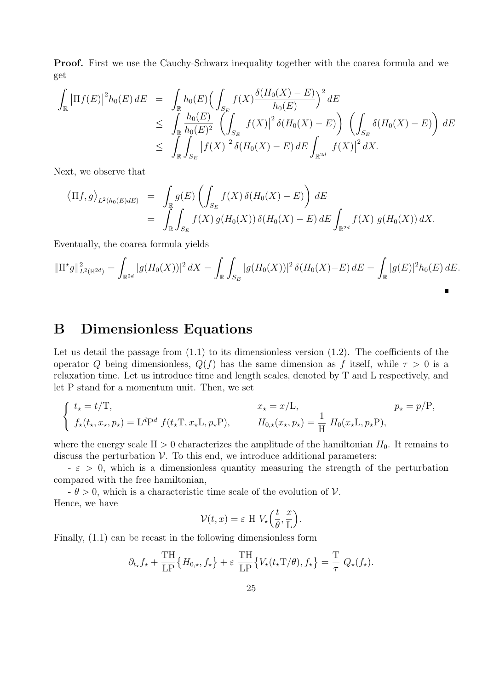Proof. First we use the Cauchy-Schwarz inequality together with the coarea formula and we get

$$
\int_{\mathbb{R}} |\Pi f(E)|^2 h_0(E) dE = \int_{\mathbb{R}} h_0(E) \Big( \int_{S_E} f(X) \frac{\delta (H_0(X) - E)}{h_0(E)} \Big)^2 dE
$$
\n
$$
\leq \int_{\mathbb{R}} \frac{h_0(E)}{h_0(E)^2} \left( \int_{S_E} |f(X)|^2 \delta (H_0(X) - E) \right) \left( \int_{S_E} \delta (H_0(X) - E) \right) dE
$$
\n
$$
\leq \int_{\mathbb{R}} \int_{S_E} |f(X)|^2 \delta (H_0(X) - E) dE \int_{\mathbb{R}^{2d}} |f(X)|^2 dX.
$$

Next, we observe that

$$
\langle \Pi f, g \rangle_{L^2(h_0(E)dE)} = \int_{\mathbb{R}} g(E) \left( \int_{S_E} f(X) \, \delta(H_0(X) - E) \right) dE
$$
  
= 
$$
\int_{\mathbb{R}} \int_{S_E} f(X) \, g(H_0(X)) \, \delta(H_0(X) - E) \, dE \int_{\mathbb{R}^{2d}} f(X) \, g(H_0(X)) \, dX.
$$

Eventually, the coarea formula yields

$$
\|\Pi^{\star}g\|_{L^{2}(\mathbb{R}^{2d})}^{2} = \int_{\mathbb{R}^{2d}} |g(H_{0}(X))|^{2} dX = \int_{\mathbb{R}} \int_{S_{E}} |g(H_{0}(X))|^{2} \delta(H_{0}(X) - E) dE = \int_{\mathbb{R}} |g(E)|^{2} h_{0}(E) dE.
$$

### B Dimensionless Equations

Let us detail the passage from  $(1.1)$  to its dimensionless version  $(1.2)$ . The coefficients of the operator Q being dimensionless,  $Q(f)$  has the same dimension as f itself, while  $\tau > 0$  is a relaxation time. Let us introduce time and length scales, denoted by T and L respectively, and let P stand for a momentum unit. Then, we set

$$
\begin{cases}\nt_{\star} = t/T, & x_{\star} = x/L, \\
f_{\star}(t_{\star}, x_{\star}, p_{\star}) = L^{d}P^{d} f(t_{\star}T, x_{\star}L, p_{\star}P), & H_{0,\star}(x_{\star}, p_{\star}) = \frac{1}{H} H_{0}(x_{\star}L, p_{\star}P),\n\end{cases}
$$

where the energy scale  $H > 0$  characterizes the amplitude of the hamiltonian  $H_0$ . It remains to discuss the perturbation  $\mathcal V$ . To this end, we introduce additional parameters:

 $-\varepsilon > 0$ , which is a dimensionless quantity measuring the strength of the perturbation compared with the free hamiltonian,

 $-\theta > 0$ , which is a characteristic time scale of the evolution of V. Hence, we have

$$
\mathcal{V}(t,x) = \varepsilon \amalg V_{\star} \left( \frac{t}{\theta}, \frac{x}{L} \right).
$$

Finally, (1.1) can be recast in the following dimensionless form

$$
\partial_{t_{\star}} f_{\star} + \frac{\text{TH}}{\text{LP}} \{ H_{0,\star}, f_{\star} \} + \varepsilon \frac{\text{TH}}{\text{LP}} \{ V_{\star}(t_{\star} \text{T}/\theta), f_{\star} \} = \frac{\text{T}}{\tau} Q_{\star}(f_{\star}).
$$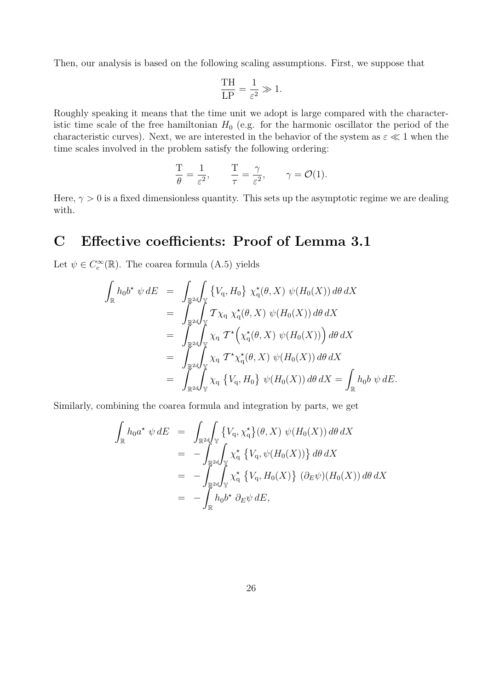Then, our analysis is based on the following scaling assumptions. First, we suppose that

$$
\frac{\text{TH}}{\text{LP}} = \frac{1}{\varepsilon^2} \gg 1.
$$

Roughly speaking it means that the time unit we adopt is large compared with the characteristic time scale of the free hamiltonian  $H_0$  (e.g. for the harmonic oscillator the period of the characteristic curves). Next, we are interested in the behavior of the system as  $\varepsilon \ll 1$  when the time scales involved in the problem satisfy the following ordering:

$$
\frac{T}{\theta} = \frac{1}{\varepsilon^2}, \qquad \frac{T}{\tau} = \frac{\gamma}{\varepsilon^2}, \qquad \gamma = \mathcal{O}(1).
$$

Here,  $\gamma > 0$  is a fixed dimensionless quantity. This sets up the asymptotic regime we are dealing with.

### C Effective coefficients: Proof of Lemma 3.1

Let  $\psi \in C_c^{\infty}(\mathbb{R})$ . The coarea formula (A.5) yields

$$
\int_{\mathbb{R}} h_0 b^* \psi dE = \int_{\mathbb{R}^{2d}} \int_{\mathbb{Y}} \left\{ V_q, H_0 \right\} \chi_q^*(\theta, X) \psi(H_0(X)) d\theta dX
$$
  
\n
$$
= \int_{\mathbb{R}^{2d}} \int_{\mathbb{Y}} T \chi_q \chi_q^*(\theta, X) \psi(H_0(X)) d\theta dX
$$
  
\n
$$
= \int_{\mathbb{R}^{2d}} \int_{\mathbb{Y}} \chi_q T^* \left( \chi_q^*(\theta, X) \psi(H_0(X)) \right) d\theta dX
$$
  
\n
$$
= \int_{\mathbb{R}^{2d}} \int_{\mathbb{Y}} \chi_q T^* \chi_q^*(\theta, X) \psi(H_0(X)) d\theta dX
$$
  
\n
$$
= \int_{\mathbb{R}^{2d}} \int_{\mathbb{Y}} \chi_q \left\{ V_q, H_0 \right\} \psi(H_0(X)) d\theta dX = \int_{\mathbb{R}} h_0 b \psi dE.
$$

Similarly, combining the coarea formula and integration by parts, we get

$$
\int_{\mathbb{R}} h_0 a^* \psi dE = \int_{\mathbb{R}^{2d}} \left\{ V_q, \chi_q^* \right\} (\theta, X) \psi(H_0(X)) d\theta dX
$$
  
\n
$$
= - \int_{\mathbb{R}^{2d}} \int_{\mathbb{Y}} \chi_q^* \left\{ V_q, \psi(H_0(X)) \right\} d\theta dX
$$
  
\n
$$
= - \int_{\mathbb{R}^{2d}} \int_{\mathbb{Y}} \chi_q^* \left\{ V_q, H_0(X) \right\} (\partial_E \psi)(H_0(X)) d\theta dX
$$
  
\n
$$
= - \int_{\mathbb{R}} h_0 b^* \partial_E \psi dE,
$$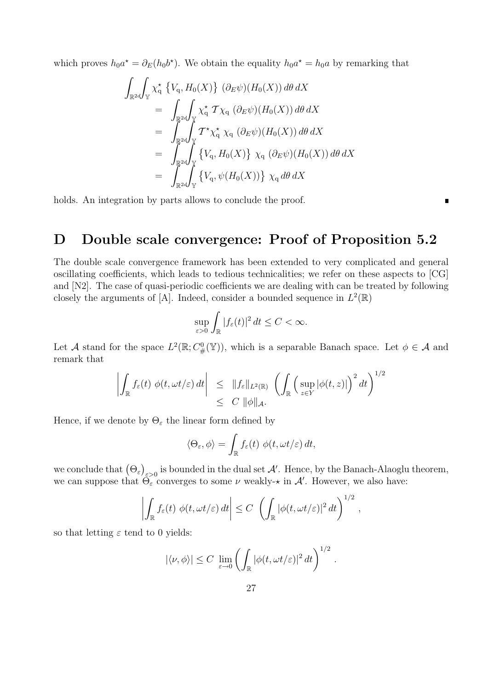which proves  $h_0 a^* = \partial_E(h_0 b^*)$ . We obtain the equality  $h_0 a^* = h_0 a$  by remarking that

$$
\int_{\mathbb{R}^{2d}} \int_{\mathbb{Y}} \chi_{q}^{\star} \left\{ V_{q}, H_{0}(X) \right\} (\partial_{E} \psi)(H_{0}(X)) d\theta dX
$$
\n
$$
= \int_{\mathbb{R}^{2d}} \int_{\mathbb{Y}} \chi_{q}^{\star} \mathcal{T} \chi_{q} (\partial_{E} \psi)(H_{0}(X)) d\theta dX
$$
\n
$$
= \int_{\mathbb{R}^{2d}} \int_{\mathbb{Y}} \mathcal{T}^{\star} \chi_{q}^{\star} \chi_{q} (\partial_{E} \psi)(H_{0}(X)) d\theta dX
$$
\n
$$
= \int_{\mathbb{R}^{2d}} \int_{\mathbb{Y}} \left\{ V_{q}, H_{0}(X) \right\} \chi_{q} (\partial_{E} \psi)(H_{0}(X)) d\theta dX
$$
\n
$$
= \int_{\mathbb{R}^{2d}} \int_{\mathbb{Y}} \left\{ V_{q}, \psi(H_{0}(X)) \right\} \chi_{q} d\theta dX
$$

holds. An integration by parts allows to conclude the proof.

### D Double scale convergence: Proof of Proposition 5.2

 $\begin{array}{c} \hline \end{array}$ 

The double scale convergence framework has been extended to very complicated and general oscillating coefficients, which leads to tedious technicalities; we refer on these aspects to [CG] and [N2]. The case of quasi-periodic coefficients we are dealing with can be treated by following closely the arguments of [A]. Indeed, consider a bounded sequence in  $L^2(\mathbb{R})$ 

$$
\sup_{\varepsilon>0}\int_{\mathbb{R}}|f_{\varepsilon}(t)|^2 dt \leq C < \infty.
$$

Let A stand for the space  $L^2(\mathbb{R}; C^0_{\#}(\mathbb{Y}))$ , which is a separable Banach space. Let  $\phi \in \mathcal{A}$  and remark that

$$
\left| \int_{\mathbb{R}} f_{\varepsilon}(t) \, \phi(t, \omega t/\varepsilon) \, dt \right| \leq \|f_{\varepsilon}\|_{L^{2}(\mathbb{R})} \, \left( \int_{\mathbb{R}} \left( \sup_{z \in Y} |\phi(t, z)| \right)^{2} dt \right)^{1/2} \leq C \, \|\phi\|_{\mathcal{A}}.
$$

Hence, if we denote by  $\Theta_{\varepsilon}$  the linear form defined by

$$
\langle \Theta_{\varepsilon}, \phi \rangle = \int_{\mathbb{R}} f_{\varepsilon}(t) \phi(t, \omega t/\varepsilon) dt,
$$

we conclude that  $(\Theta_{\varepsilon})_{\varepsilon>0}$  is bounded in the dual set  $\mathcal{A}'$ . Hence, by the Banach-Alaoglu theorem, we can suppose that  $\widetilde{\Theta_{\varepsilon}}$  converges to some  $\nu$  weakly- $\star$  in  $\mathcal{A}'$ . However, we also have:

$$
\left|\int_{\mathbb{R}}f_{\varepsilon}(t)\,\phi(t,\omega t/\varepsilon)\,dt\right|\leq C\,\left(\int_{\mathbb{R}}|\phi(t,\omega t/\varepsilon)|^2\,dt\right)^{1/2}\,,
$$

so that letting  $\varepsilon$  tend to 0 yields:

$$
|\langle \nu, \phi \rangle| \leq C \lim_{\varepsilon \to 0} \left( \int_{\mathbb{R}} |\phi(t, \omega t/\varepsilon)|^2 dt \right)^{1/2}.
$$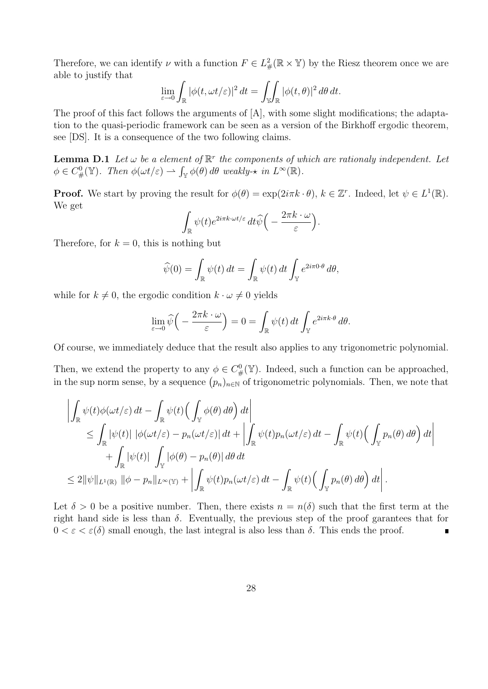Therefore, we can identify  $\nu$  with a function  $F \in L^2_{\#}(\mathbb{R} \times \mathbb{Y})$  by the Riesz theorem once we are able to justify that

$$
\lim_{\varepsilon \to 0} \int_{\mathbb{R}} |\phi(t, \omega t/\varepsilon)|^2 dt = \iint_{\mathbb{R}} |\phi(t, \theta)|^2 d\theta dt.
$$

The proof of this fact follows the arguments of [A], with some slight modifications; the adaptation to the quasi-periodic framework can be seen as a version of the Birkhoff ergodic theorem, see [DS]. It is a consequence of the two following claims.

**Lemma D.1** Let  $\omega$  be a element of  $\mathbb{R}^r$  the components of which are rationaly independent. Let  $\phi \in C^0_\#(\mathbb{Y})$ . Then  $\phi(\omega t/\varepsilon) \rightharpoonup \int_{\mathbb{Y}} \phi(\theta) d\theta$  weakly- $\star$  in  $L^\infty(\mathbb{R})$ .

**Proof.** We start by proving the result for  $\phi(\theta) = \exp(2i\pi k \cdot \theta)$ ,  $k \in \mathbb{Z}^r$ . Indeed, let  $\psi \in L^1(\mathbb{R})$ . We get

$$
\int_{\mathbb{R}} \psi(t) e^{2i\pi k \cdot \omega t/\varepsilon} dt \widehat{\psi}\Big(-\frac{2\pi k \cdot \omega}{\varepsilon}\Big).
$$

Therefore, for  $k = 0$ , this is nothing but

$$
\widehat{\psi}(0) = \int_{\mathbb{R}} \psi(t) dt = \int_{\mathbb{R}} \psi(t) dt \int_{\mathbb{Y}} e^{2i\pi 0 \cdot \theta} d\theta,
$$

while for  $k \neq 0$ , the ergodic condition  $k \cdot \omega \neq 0$  yields

$$
\lim_{\varepsilon \to 0} \widehat{\psi}\Big( -\frac{2\pi k \cdot \omega}{\varepsilon} \Big) = 0 = \int_{\mathbb{R}} \psi(t) dt \int_{\mathbb{Y}} e^{2i\pi k \cdot \theta} d\theta.
$$

Of course, we immediately deduce that the result also applies to any trigonometric polynomial.

Then, we extend the property to any  $\phi \in C^0_{\#}(\mathbb{Y})$ . Indeed, such a function can be approached, in the sup norm sense, by a sequence  $(p_n)_{n\in\mathbb{N}}$  of trigonometric polynomials. Then, we note that

$$
\left| \int_{\mathbb{R}} \psi(t) \phi(\omega t/\varepsilon) dt - \int_{\mathbb{R}} \psi(t) \Big( \int_{\mathbb{Y}} \phi(\theta) d\theta \Big) dt \right|
$$
  
\n
$$
\leq \int_{\mathbb{R}} |\psi(t)| |\phi(\omega t/\varepsilon) - p_n(\omega t/\varepsilon)| dt + \left| \int_{\mathbb{R}} \psi(t) p_n(\omega t/\varepsilon) dt - \int_{\mathbb{R}} \psi(t) \Big( \int_{\mathbb{Y}} p_n(\theta) d\theta \Big) dt \right|
$$
  
\n
$$
+ \int_{\mathbb{R}} |\psi(t)| \int_{\mathbb{Y}} |\phi(\theta) - p_n(\theta)| d\theta dt
$$
  
\n
$$
\leq 2 ||\psi||_{L^{1}(\mathbb{R})} ||\phi - p_n||_{L^{\infty}(\mathbb{Y})} + \left| \int_{\mathbb{R}} \psi(t) p_n(\omega t/\varepsilon) dt - \int_{\mathbb{R}} \psi(t) \Big( \int_{\mathbb{Y}} p_n(\theta) d\theta \Big) dt \right|.
$$

Let  $\delta > 0$  be a positive number. Then, there exists  $n = n(\delta)$  such that the first term at the right hand side is less than  $\delta$ . Eventually, the previous step of the proof garantees that for  $0 < \varepsilon < \varepsilon(\delta)$  small enough, the last integral is also less than  $\delta$ . This ends the proof. É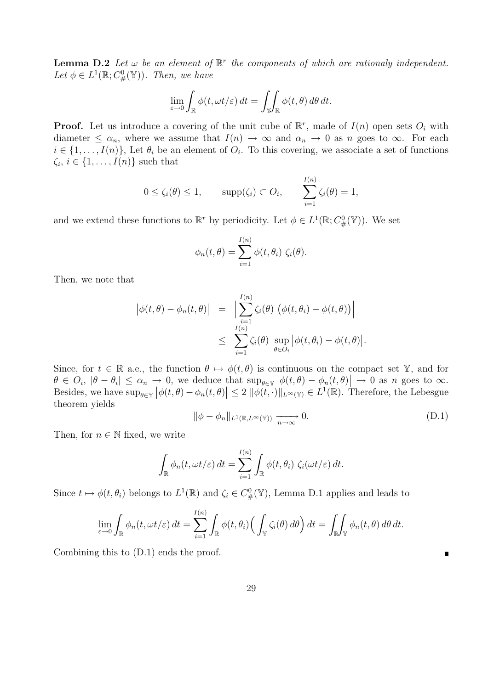**Lemma D.2** Let  $\omega$  be an element of  $\mathbb{R}^r$  the components of which are rationaly independent. Let  $\phi \in L^1(\mathbb{R}; C^0(\mathbb{Y}))$ . Then, we have

$$
\lim_{\varepsilon \to 0} \int_{\mathbb{R}} \phi(t, \omega t/\varepsilon) dt = \iint_{\mathbb{Y}} \int_{\mathbb{R}} \phi(t, \theta) d\theta dt.
$$

**Proof.** Let us introduce a covering of the unit cube of  $\mathbb{R}^r$ , made of  $I(n)$  open sets  $O_i$  with diameter  $\leq \alpha_n$ , where we assume that  $I(n) \to \infty$  and  $\alpha_n \to 0$  as n goes to  $\infty$ . For each  $i \in \{1, \ldots, I(n)\},$  Let  $\theta_i$  be an element of  $O_i$ . To this covering, we associate a set of functions  $\zeta_i, i \in \{1, \ldots, I(n)\}\$  such that

$$
0 \le \zeta_i(\theta) \le 1
$$
,  $\text{supp}(\zeta_i) \subset O_i$ ,  $\sum_{i=1}^{I(n)} \zeta_i(\theta) = 1$ ,

and we extend these functions to  $\mathbb{R}^r$  by periodicity. Let  $\phi \in L^1(\mathbb{R}; C^0_\#(\mathbb{Y}))$ . We set

$$
\phi_n(t,\theta) = \sum_{i=1}^{I(n)} \phi(t,\theta_i) \zeta_i(\theta).
$$

Then, we note that

$$
\begin{array}{rcl} \left| \phi(t,\theta) - \phi_n(t,\theta) \right| & = & \Big| \sum_{i=1}^{I(n)} \zeta_i(\theta) \left( \phi(t,\theta_i) - \phi(t,\theta) \right) \Big| \\ & \leq & \sum_{i=1}^{I(n)} \zeta_i(\theta) \sup_{\theta \in O_i} \big| \phi(t,\theta_i) - \phi(t,\theta) \big|. \end{array}
$$

Since, for  $t \in \mathbb{R}$  a.e., the function  $\theta \mapsto \phi(t, \theta)$  is continuous on the compact set Y, and for  $\theta \in O_i$ ,  $|\theta - \theta_i| \leq \alpha_n \to 0$ , we deduce that  $\sup_{\theta \in \mathbb{Y}} |\phi(t,\theta) - \phi_n(t,\theta)| \to 0$  as n goes to  $\infty$ . Besides, we have  $\sup_{\theta \in \mathbb{Y}} |\phi(t, \theta) - \phi_n(t, \theta)| \leq 2 ||\phi(t, \cdot)||_{L^{\infty}(\mathbb{Y})} \in L^{1}(\mathbb{R})$ . Therefore, the Lebesgue theorem yields

$$
\|\phi - \phi_n\|_{L^1(\mathbb{R}, L^\infty(\mathbb{Y}))} \xrightarrow[n \to \infty]{} 0. \tag{D.1}
$$

Ē

Then, for  $n \in \mathbb{N}$  fixed, we write

$$
\int_{\mathbb{R}} \phi_n(t, \omega t/\varepsilon) dt = \sum_{i=1}^{I(n)} \int_{\mathbb{R}} \phi(t, \theta_i) \zeta_i(\omega t/\varepsilon) dt.
$$

Since  $t \mapsto \phi(t, \theta_i)$  belongs to  $L^1(\mathbb{R})$  and  $\zeta_i \in C^0(\mathbb{Y})$ , Lemma D.1 applies and leads to

$$
\lim_{\varepsilon \to 0} \int_{\mathbb{R}} \phi_n(t, \omega t/\varepsilon) dt = \sum_{i=1}^{I(n)} \int_{\mathbb{R}} \phi(t, \theta_i) \Big( \int_{\mathbb{Y}} \zeta_i(\theta) d\theta \Big) dt = \int_{\mathbb{R}} \int_{\mathbb{Y}} \phi_n(t, \theta) d\theta dt.
$$

Combining this to (D.1) ends the proof.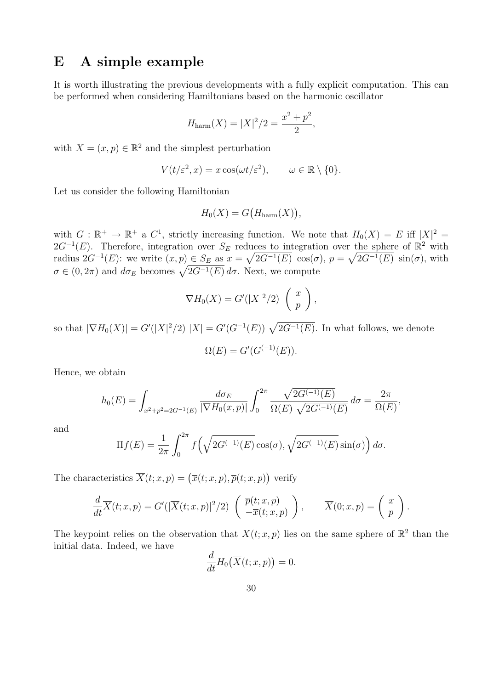### E A simple example

It is worth illustrating the previous developments with a fully explicit computation. This can be performed when considering Hamiltonians based on the harmonic oscillator

$$
H_{\text{harm}}(X) = |X|^2/2 = \frac{x^2 + p^2}{2},
$$

with  $X = (x, p) \in \mathbb{R}^2$  and the simplest perturbation

$$
V(t/\varepsilon^2, x) = x \cos(\omega t/\varepsilon^2), \qquad \omega \in \mathbb{R} \setminus \{0\}.
$$

Let us consider the following Hamiltonian

$$
H_0(X) = G\big(H_{\text{harm}}(X)\big),
$$

with  $G : \mathbb{R}^+ \to \mathbb{R}^+$  a  $C^1$ , strictly increasing function. We note that  $H_0(X) = E$  iff  $|X|^2 =$ 2 $G^{-1}(E)$ . Therefore, integration over  $S_E$  reduces to integration over the sphere of  $\mathbb{R}^2$  with radius  $2G^{-1}(E)$ : we write  $(x, p) \in S_E$  as  $x = \sqrt{2G^{-1}(E)} \cos(\sigma)$ ,  $p = \sqrt{2G^{-1}(E)} \sin(\sigma)$ , with  $\sigma \in (0, 2\pi)$  and  $d\sigma_E$  becomes  $\sqrt{2G^{-1}(E)} d\sigma$ . Next, we compute

$$
\nabla H_0(X) = G'(|X|^2/2) \left(\begin{array}{c} x \\ p \end{array}\right),
$$

so that  $|\nabla H_0(X)| = G'(|X|^2/2) |X| = G'(G^{-1}(E)) \sqrt{2G^{-1}(E)}$ . In what follows, we denote

$$
\Omega(E) = G'(G^{(-1)}(E)).
$$

Hence, we obtain

$$
h_0(E) = \int_{x^2 + p^2 = 2G^{-1}(E)} \frac{d\sigma_E}{|\nabla H_0(x, p)|} \int_0^{2\pi} \frac{\sqrt{2G^{(-1)}(E)}}{\Omega(E) \sqrt{2G^{(-1)}(E)}} d\sigma = \frac{2\pi}{\Omega(E)},
$$

and

$$
\Pi f(E) = \frac{1}{2\pi} \int_0^{2\pi} f\left(\sqrt{2G^{(-1)}(E)} \cos(\sigma), \sqrt{2G^{(-1)}(E)} \sin(\sigma)\right) d\sigma.
$$

The characteristics  $\overline{X}(t; x, p) = (\overline{x}(t; x, p), \overline{p}(t; x, p))$  verify

$$
\frac{d}{dt}\overline{X}(t;x,p) = G'(|\overline{X}(t;x,p)|^2/2) \left( \overline{p}(t;x,p) \atop -\overline{x}(t;x,p) \right), \qquad \overline{X}(0;x,p) = \left( \begin{array}{c} x \\ p \end{array} \right).
$$

The keypoint relies on the observation that  $X(t; x, p)$  lies on the same sphere of  $\mathbb{R}^2$  than the initial data. Indeed, we have

$$
\frac{d}{dt}H_0(\overline{X}(t;x,p))=0.
$$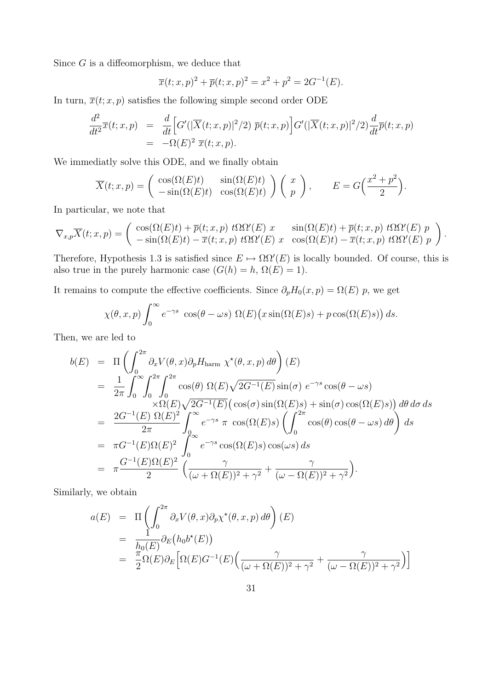Since  $G$  is a diffeomorphism, we deduce that

$$
\overline{x}(t;x,p)^2 + \overline{p}(t;x,p)^2 = x^2 + p^2 = 2G^{-1}(E).
$$

In turn,  $\overline{x}(t; x, p)$  satisfies the following simple second order ODE

$$
\frac{d^2}{dt^2}\overline{x}(t;x,p) = \frac{d}{dt}\Big[G'(|\overline{X}(t;x,p)|^2/2) \ \overline{p}(t;x,p)\Big]G'(|\overline{X}(t;x,p)|^2/2)\frac{d}{dt}\overline{p}(t;x,p)
$$
\n
$$
= -\Omega(E)^2 \ \overline{x}(t;x,p).
$$

We immediatly solve this ODE, and we finally obtain

$$
\overline{X}(t;x,p) = \begin{pmatrix} \cos(\Omega(E)t) & \sin(\Omega(E)t) \\ -\sin(\Omega(E)t) & \cos(\Omega(E)t) \end{pmatrix} \begin{pmatrix} x \\ p \end{pmatrix}, \qquad E = G\left(\frac{x^2 + p^2}{2}\right).
$$

In particular, we note that

$$
\nabla_{x,p}\overline{X}(t;x,p) = \begin{pmatrix} \cos(\Omega(E)t) + \overline{p}(t;x,p) \ t\Omega \Omega'(E) \ x & \sin(\Omega(E)t) + \overline{p}(t;x,p) \ t\Omega \Omega'(E) \ p \\ -\sin(\Omega(E)t) - \overline{x}(t;x,p) \ t\Omega \Omega'(E) \ x & \cos(\Omega(E)t) - \overline{x}(t;x,p) \ t\Omega \Omega'(E) \ p \end{pmatrix}.
$$

Therefore, Hypothesis 1.3 is satisfied since  $E \mapsto \Omega \Omega'(E)$  is locally bounded. Of course, this is also true in the purely harmonic case  $(G(h) = h, \Omega(E) = 1)$ .

It remains to compute the effective coefficients. Since  $\partial_p H_0(x, p) = \Omega(E)$  p, we get

$$
\chi(\theta, x, p) \int_0^\infty e^{-\gamma s} \cos(\theta - \omega s) \Omega(E) (x \sin(\Omega(E)s) + p \cos(\Omega(E)s)) ds.
$$

Then, we are led to

$$
b(E) = \Pi \left( \int_0^{2\pi} \partial_x V(\theta, x) \partial_p H_{\text{harm}} \chi^*(\theta, x, p) d\theta \right) (E)
$$
  
\n
$$
= \frac{1}{2\pi} \int_0^{\infty} \int_0^{2\pi} \int_0^{2\pi} \cos(\theta) \Omega(E) \sqrt{2G^{-1}(E)} \sin(\sigma) e^{-\gamma s} \cos(\theta - \omega s)
$$
  
\n
$$
\times \Omega(E) \sqrt{2G^{-1}(E)} (\cos(\sigma) \sin(\Omega(E)s) + \sin(\sigma) \cos(\Omega(E)s)) d\theta d\sigma ds
$$
  
\n
$$
= \frac{2G^{-1}(E) \Omega(E)^2}{2\pi} \int_0^{\infty} e^{-\gamma s} \pi \cos(\Omega(E)s) \left( \int_0^{2\pi} \cos(\theta) \cos(\theta - \omega s) d\theta \right) ds
$$
  
\n
$$
= \pi G^{-1}(E) \Omega(E)^2 \int_0^{\infty} e^{-\gamma s} \cos(\Omega(E)s) \cos(\omega s) ds
$$
  
\n
$$
= \pi \frac{G^{-1}(E) \Omega(E)^2}{2} \left( \frac{\gamma}{(\omega + \Omega(E))^2 + \gamma^2} + \frac{\gamma}{(\omega - \Omega(E))^2 + \gamma^2} \right).
$$

Similarly, we obtain

$$
a(E) = \Pi \left( \int_0^{2\pi} \partial_x V(\theta, x) \partial_p \chi^*(\theta, x, p) d\theta \right) (E)
$$
  
= 
$$
\frac{1}{h_0(E)} \partial_E (h_0 b^*(E))
$$
  
= 
$$
\frac{\pi}{2} \Omega(E) \partial_E \left[ \Omega(E) G^{-1}(E) \left( \frac{\gamma}{(\omega + \Omega(E))^2 + \gamma^2} + \frac{\gamma}{(\omega - \Omega(E))^2 + \gamma^2} \right) \right]
$$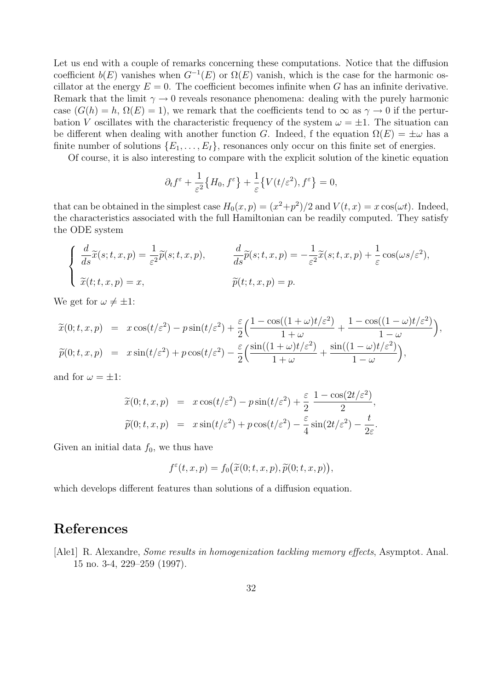Let us end with a couple of remarks concerning these computations. Notice that the diffusion coefficient  $b(E)$  vanishes when  $G^{-1}(E)$  or  $\Omega(E)$  vanish, which is the case for the harmonic oscillator at the energy  $E = 0$ . The coefficient becomes infinite when G has an infinite derivative. Remark that the limit  $\gamma \to 0$  reveals resonance phenomena: dealing with the purely harmonic case  $(G(h) = h, \Omega(E) = 1)$ , we remark that the coefficients tend to  $\infty$  as  $\gamma \to 0$  if the perturbation V oscillates with the characteristic frequency of the system  $\omega = \pm 1$ . The situation can be different when dealing with another function G. Indeed, f the equation  $\Omega(E) = \pm \omega$  has a finite number of solutions  $\{E_1, \ldots, E_I\}$ , resonances only occur on this finite set of energies.

Of course, it is also interesting to compare with the explicit solution of the kinetic equation

$$
\partial_t f^{\varepsilon} + \frac{1}{\varepsilon^2} \big\{ H_0, f^{\varepsilon} \big\} + \frac{1}{\varepsilon} \big\{ V(t/\varepsilon^2), f^{\varepsilon} \big\} = 0,
$$

that can be obtained in the simplest case  $H_0(x,p) = (x^2+p^2)/2$  and  $V(t,x) = x \cos(\omega t)$ . Indeed, the characteristics associated with the full Hamiltonian can be readily computed. They satisfy the ODE system

$$
\begin{cases}\n\frac{d}{ds}\tilde{x}(s;t,x,p) = \frac{1}{\varepsilon^2}\tilde{p}(s;t,x,p), & \frac{d}{ds}\tilde{p}(s;t,x,p) = -\frac{1}{\varepsilon^2}\tilde{x}(s;t,x,p) + \frac{1}{\varepsilon}\cos(\omega s/\varepsilon^2), \\
\tilde{x}(t;t,x,p) = x, & \tilde{p}(t;t,x,p) = p.\n\end{cases}
$$

We get for  $\omega \neq \pm 1$ :

$$
\widetilde{x}(0;t,x,p) = x \cos(t/\varepsilon^2) - p \sin(t/\varepsilon^2) + \frac{\varepsilon}{2} \left( \frac{1 - \cos((1+\omega)t/\varepsilon^2)}{1+\omega} + \frac{1 - \cos((1-\omega)t/\varepsilon^2)}{1-\omega} \right),
$$
  

$$
\widetilde{p}(0;t,x,p) = x \sin(t/\varepsilon^2) + p \cos(t/\varepsilon^2) - \frac{\varepsilon}{2} \left( \frac{\sin((1+\omega)t/\varepsilon^2)}{1+\omega} + \frac{\sin((1-\omega)t/\varepsilon^2)}{1-\omega} \right),
$$

and for  $\omega = \pm 1$ :

$$
\widetilde{x}(0;t,x,p) = x \cos(t/\varepsilon^2) - p \sin(t/\varepsilon^2) + \frac{\varepsilon}{2} \frac{1 - \cos(2t/\varepsilon^2)}{2}, \n\widetilde{p}(0;t,x,p) = x \sin(t/\varepsilon^2) + p \cos(t/\varepsilon^2) - \frac{\varepsilon}{4} \sin(2t/\varepsilon^2) - \frac{t}{2\varepsilon}.
$$

Given an initial data  $f_0$ , we thus have

$$
f^{\varepsilon}(t,x,p) = f_0\big(\widetilde{x}(0;t,x,p),\widetilde{p}(0;t,x,p)\big),
$$

which develops different features than solutions of a diffusion equation.

### References

[Ale1] R. Alexandre, Some results in homogenization tackling memory effects, Asymptot. Anal. 15 no. 3-4, 229–259 (1997).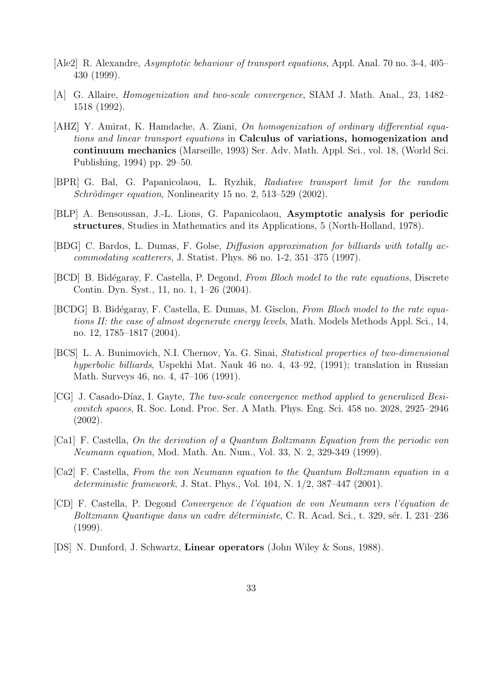- [Ale2] R. Alexandre, Asymptotic behaviour of transport equations, Appl. Anal. 70 no. 3-4, 405– 430 (1999).
- [A] G. Allaire, Homogenization and two-scale convergence, SIAM J. Math. Anal., 23, 1482– 1518 (1992).
- [AHZ] Y. Amirat, K. Hamdache, A. Ziani, *On homogenization of ordinary differential equa*tions and linear transport equations in Calculus of variations, homogenization and continuum mechanics (Marseille, 1993) Ser. Adv. Math. Appl. Sci., vol. 18, (World Sci. Publishing, 1994) pp. 29–50.
- [BPR] G. Bal, G. Papanicolaou, L. Ryzhik, Radiative transport limit for the random  $Schrödinger equation$ , Nonlinearity 15 no. 2, 513–529 (2002).
- [BLP] A. Bensoussan, J.-L. Lions, G. Papanicolaou, Asymptotic analysis for periodic structures, Studies in Mathematics and its Applications, 5 (North-Holland, 1978).
- [BDG] C. Bardos, L. Dumas, F. Golse, Diffusion approximation for billiards with totally accommodating scatterers, J. Statist. Phys. 86 no. 1-2, 351–375 (1997).
- [BCD] B. Bidégaray, F. Castella, P. Degond, From Bloch model to the rate equations, Discrete Contin. Dyn. Syst., 11, no. 1, 1–26 (2004).
- [BCDG] B. Bidégaray, F. Castella, E. Dumas, M. Gisclon, From Bloch model to the rate equations II: the case of almost degenerate energy levels, Math. Models Methods Appl. Sci., 14, no. 12, 1785–1817 (2004).
- [BCS] L. A. Bunimovich, N.I. Chernov, Ya. G. Sinai, Statistical properties of two-dimensional hyperbolic billiards, Uspekhi Mat. Nauk 46 no. 4, 43–92, (1991); translation in Russian Math. Surveys 46, no. 4, 47–106 (1991).
- [CG] J. Casado-Díaz, I. Gayte, *The two-scale convergence method applied to generalized Besi*covitch spaces, R. Soc. Lond. Proc. Ser. A Math. Phys. Eng. Sci. 458 no. 2028, 2925–2946 (2002).
- [Ca1] F. Castella, On the derivation of a Quantum Boltzmann Equation from the periodic von Neumann equation, Mod. Math. An. Num., Vol. 33, N. 2, 329-349 (1999).
- [Ca2] F. Castella, From the von Neumann equation to the Quantum Boltzmann equation in a deterministic framework, J. Stat. Phys., Vol. 104, N. 1/2, 387–447 (2001).
- [CD] F. Castella, P. Degond Convergence de l'´equation de von Neumann vers l'´equation de Boltzmann Quantique dans un cadre déterministe, C. R. Acad. Sci., t. 329, sér. I, 231–236 (1999).
- [DS] N. Dunford, J. Schwartz, Linear operators (John Wiley & Sons, 1988).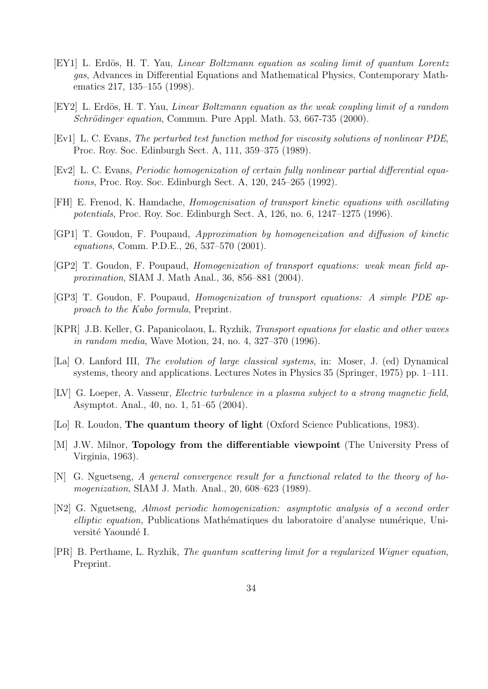- [EY1] L. Erdös, H. T. Yau, *Linear Boltzmann equation as scaling limit of quantum Lorentz* gas, Advances in Differential Equations and Mathematical Physics, Contemporary Mathematics 217, 135–155 (1998).
- [EY2] L. Erdös, H. T. Yau, *Linear Boltzmann equation as the weak coupling limit of a random*  $Schrödinger equation$ , Commun. Pure Appl. Math. 53, 667-735 (2000).
- [Ev1] L. C. Evans, The perturbed test function method for viscosity solutions of nonlinear PDE, Proc. Roy. Soc. Edinburgh Sect. A, 111, 359–375 (1989).
- [Ev2] L. C. Evans, Periodic homogenization of certain fully nonlinear partial differential equations, Proc. Roy. Soc. Edinburgh Sect. A, 120, 245–265 (1992).
- [FH] E. Frenod, K. Hamdache, Homogenisation of transport kinetic equations with oscillating potentials, Proc. Roy. Soc. Edinburgh Sect. A, 126, no. 6, 1247–1275 (1996).
- [GP1] T. Goudon, F. Poupaud, Approximation by homogeneization and diffusion of kinetic equations, Comm. P.D.E., 26, 537–570 (2001).
- [GP2] T. Goudon, F. Poupaud, Homogenization of transport equations: weak mean field approximation, SIAM J. Math Anal., 36, 856–881 (2004).
- [GP3] T. Goudon, F. Poupaud, Homogenization of transport equations: A simple PDE approach to the Kubo formula, Preprint.
- [KPR] J.B. Keller, G. Papanicolaou, L. Ryzhik, Transport equations for elastic and other waves in random media, Wave Motion, 24, no. 4, 327–370 (1996).
- [La] O. Lanford III, The evolution of large classical systems, in: Moser, J. (ed) Dynamical systems, theory and applications. Lectures Notes in Physics 35 (Springer, 1975) pp. 1–111.
- [LV] G. Loeper, A. Vasseur, Electric turbulence in a plasma subject to a strong magnetic field, Asymptot. Anal., 40, no. 1, 51–65 (2004).
- [Lo] R. Loudon, The quantum theory of light (Oxford Science Publications, 1983).
- [M] J.W. Milnor, Topology from the differentiable viewpoint (The University Press of Virginia, 1963).
- [N] G. Nguetseng, A general convergence result for a functional related to the theory of homogenization, SIAM J. Math. Anal., 20, 608–623 (1989).
- [N2] G. Nguetseng, Almost periodic homogenization: asymptotic analysis of a second order elliptic equation, Publications Mathématiques du laboratoire d'analyse numérique, Université Yaoundé I.
- [PR] B. Perthame, L. Ryzhik, The quantum scattering limit for a regularized Wigner equation, Preprint.